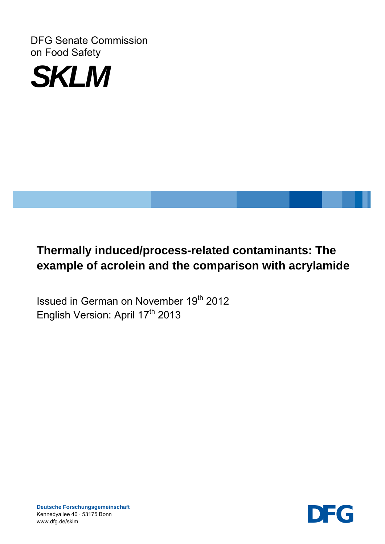DFG Senate Commission on Food Safety



# **Thermally induced/process-related contaminants: The example of acrolein and the comparison with acrylamide**

Issued in German on November 19th 2012 English Version: April 17<sup>th</sup> 2013

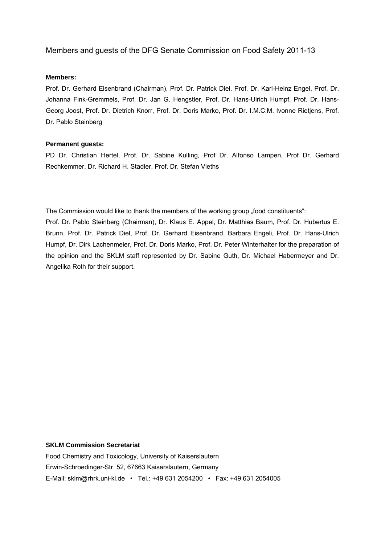#### Members and guests of the DFG Senate Commission on Food Safety 2011-13

#### **Members:**

Prof. Dr. Gerhard Eisenbrand (Chairman), Prof. Dr. Patrick Diel, Prof. Dr. Karl-Heinz Engel, Prof. Dr. Johanna Fink-Gremmels, Prof. Dr. Jan G. Hengstler, Prof. Dr. Hans-Ulrich Humpf, Prof. Dr. Hans-Georg Joost, Prof. Dr. Dietrich Knorr, Prof. Dr. Doris Marko, Prof. Dr. I.M.C.M. Ivonne Rietjens, Prof. Dr. Pablo Steinberg

#### **Permanent guests:**

PD Dr. Christian Hertel, Prof. Dr. Sabine Kulling, Prof Dr. Alfonso Lampen, Prof Dr. Gerhard Rechkemmer, Dr. Richard H. Stadler, Prof. Dr. Stefan Vieths

The Commission would like to thank the members of the working group "food constituents":

Prof. Dr. Pablo Steinberg (Chairman), Dr. Klaus E. Appel, Dr. Matthias Baum, Prof. Dr. Hubertus E. Brunn, Prof. Dr. Patrick Diel, Prof. Dr. Gerhard Eisenbrand, Barbara Engeli, Prof. Dr. Hans-Ulrich Humpf, Dr. Dirk Lachenmeier, Prof. Dr. Doris Marko, Prof. Dr. Peter Winterhalter for the preparation of the opinion and the SKLM staff represented by Dr. Sabine Guth, Dr. Michael Habermeyer and Dr. Angelika Roth for their support.

#### **SKLM Commission Secretariat**

Food Chemistry and Toxicology, University of Kaiserslautern Erwin-Schroedinger-Str. 52, 67663 Kaiserslautern, Germany E-Mail: sklm@rhrk.uni-kl.de • Tel.: +49 631 2054200 • Fax: +49 631 2054005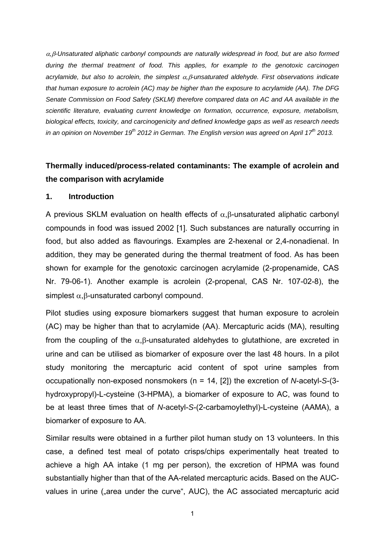<sup>α</sup>*,*β*-Unsaturated aliphatic carbonyl compounds are naturally widespread in food, but are also formed during the thermal treatment of food. This applies, for example to the genotoxic carcinogen acrylamide, but also to acrolein, the simplest* α*,*β*-unsaturated aldehyde. First observations indicate that human exposure to acrolein (AC) may be higher than the exposure to acrylamide (AA). The DFG Senate Commission on Food Safety (SKLM) therefore compared data on AC and AA available in the scientific literature, evaluating current knowledge on formation, occurrence, exposure, metabolism, biological effects, toxicity, and carcinogenicity and defined knowledge gaps as well as research needs in an opinion on November 19th 2012 in German. The English version was agreed on April 17th 2013.* 

## **Thermally induced/process-related contaminants: The example of acrolein and the comparison with acrylamide**

#### **1. Introduction**

A previous SKLM evaluation on health effects of α,β-unsaturated aliphatic carbonyl compounds in food was issued 2002 [1]. Such substances are naturally occurring in food, but also added as flavourings. Examples are 2-hexenal or 2,4-nonadienal. In addition, they may be generated during the thermal treatment of food. As has been shown for example for the genotoxic carcinogen acrylamide (2-propenamide, CAS Nr. 79-06-1). Another example is acrolein (2-propenal, CAS Nr. 107-02-8), the simplest  $\alpha$ .β-unsaturated carbonyl compound.

Pilot studies using exposure biomarkers suggest that human exposure to acrolein (AC) may be higher than that to acrylamide (AA). Mercapturic acids (MA), resulting from the coupling of the  $\alpha$ ,  $\beta$ -unsaturated aldehydes to glutathione, are excreted in urine and can be utilised as biomarker of exposure over the last 48 hours. In a pilot study monitoring the mercapturic acid content of spot urine samples from occupationally non-exposed nonsmokers (n = 14, [2]) the excretion of *N*-acetyl-*S*-(3 hydroxypropyl)-L-cysteine (3-HPMA), a biomarker of exposure to AC, was found to be at least three times that of *N*-acetyl-*S*-(2-carbamoylethyl)-L-cysteine (AAMA), a biomarker of exposure to AA.

Similar results were obtained in a further pilot human study on 13 volunteers. In this case, a defined test meal of potato crisps/chips experimentally heat treated to achieve a high AA intake (1 mg per person), the excretion of HPMA was found substantially higher than that of the AA-related mercapturic acids. Based on the AUCvalues in urine ("area under the curve", AUC), the AC associated mercapturic acid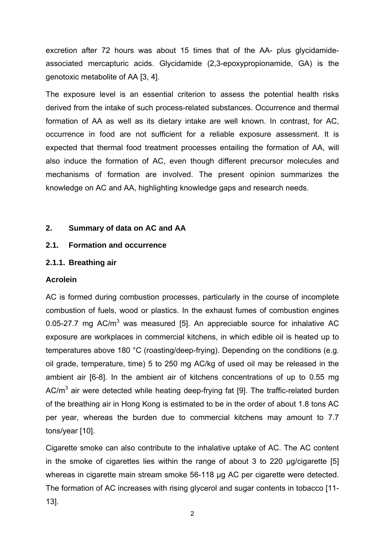excretion after 72 hours was about 15 times that of the AA- plus glycidamideassociated mercapturic acids. Glycidamide (2,3-epoxypropionamide, GA) is the genotoxic metabolite of AA [3, 4].

The exposure level is an essential criterion to assess the potential health risks derived from the intake of such process-related substances. Occurrence and thermal formation of AA as well as its dietary intake are well known. In contrast, for AC, occurrence in food are not sufficient for a reliable exposure assessment. It is expected that thermal food treatment processes entailing the formation of AA, will also induce the formation of AC, even though different precursor molecules and mechanisms of formation are involved. The present opinion summarizes the knowledge on AC and AA, highlighting knowledge gaps and research needs.

#### **2. Summary of data on AC and AA**

#### **2.1. Formation and occurrence**

#### **2.1.1. Breathing air**

#### **Acrolein**

AC is formed during combustion processes, particularly in the course of incomplete combustion of fuels, wood or plastics. In the exhaust fumes of combustion engines 0.05-27.7 mg  $AC/m<sup>3</sup>$  was measured [5]. An appreciable source for inhalative AC exposure are workplaces in commercial kitchens, in which edible oil is heated up to temperatures above 180 °C (roasting/deep-frying). Depending on the conditions (e.g. oil grade, temperature, time) 5 to 250 mg AC/kg of used oil may be released in the ambient air [6-8]. In the ambient air of kitchens concentrations of up to 0.55 mg AC/ $m<sup>3</sup>$  air were detected while heating deep-frying fat [9]. The traffic-related burden of the breathing air in Hong Kong is estimated to be in the order of about 1.8 tons AC per year, whereas the burden due to commercial kitchens may amount to 7.7 tons/year [10].

Cigarette smoke can also contribute to the inhalative uptake of AC. The AC content in the smoke of cigarettes lies within the range of about 3 to 220 µg/cigarette [5] whereas in cigarette main stream smoke 56-118 µg AC per cigarette were detected. The formation of AC increases with rising glycerol and sugar contents in tobacco [11- 13].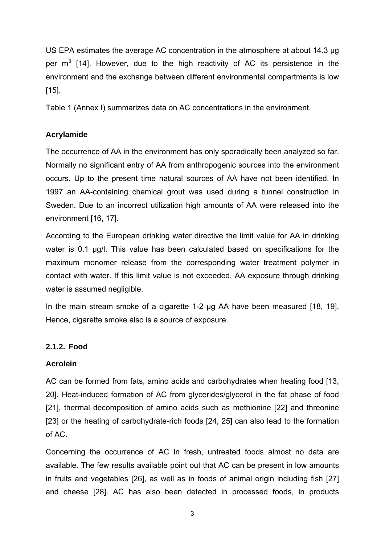US EPA estimates the average AC concentration in the atmosphere at about 14.3 µg per  $m^3$  [14]. However, due to the high reactivity of AC its persistence in the environment and the exchange between different environmental compartments is low [15].

Table 1 (Annex I) summarizes data on AC concentrations in the environment.

## **Acrylamide**

The occurrence of AA in the environment has only sporadically been analyzed so far. Normally no significant entry of AA from anthropogenic sources into the environment occurs. Up to the present time natural sources of AA have not been identified. In 1997 an AA-containing chemical grout was used during a tunnel construction in Sweden. Due to an incorrect utilization high amounts of AA were released into the environment [16, 17].

According to the European drinking water directive the limit value for AA in drinking water is 0.1 µg/l. This value has been calculated based on specifications for the maximum monomer release from the corresponding water treatment polymer in contact with water. If this limit value is not exceeded, AA exposure through drinking water is assumed negligible.

In the main stream smoke of a cigarette 1-2 µg AA have been measured [18, 19]. Hence, cigarette smoke also is a source of exposure.

## **2.1.2. Food**

## **Acrolein**

AC can be formed from fats, amino acids and carbohydrates when heating food [13, 20]. Heat-induced formation of AC from glycerides/glycerol in the fat phase of food [21], thermal decomposition of amino acids such as methionine [22] and threonine [23] or the heating of carbohydrate-rich foods [24, 25] can also lead to the formation of AC.

Concerning the occurrence of AC in fresh, untreated foods almost no data are available. The few results available point out that AC can be present in low amounts in fruits and vegetables [26], as well as in foods of animal origin including fish [27] and cheese [28]. AC has also been detected in processed foods, in products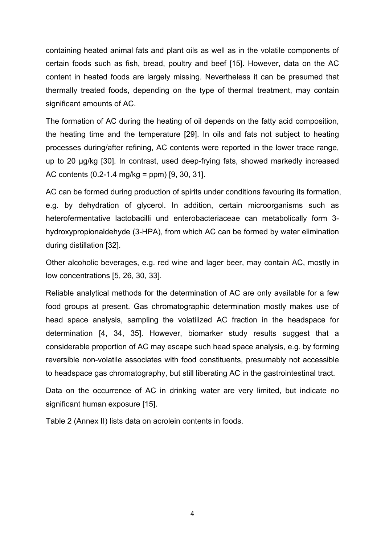containing heated animal fats and plant oils as well as in the volatile components of certain foods such as fish, bread, poultry and beef [15]. However, data on the AC content in heated foods are largely missing. Nevertheless it can be presumed that thermally treated foods, depending on the type of thermal treatment, may contain significant amounts of AC.

The formation of AC during the heating of oil depends on the fatty acid composition, the heating time and the temperature [29]. In oils and fats not subject to heating processes during/after refining, AC contents were reported in the lower trace range, up to 20 µg/kg [30]. In contrast, used deep-frying fats, showed markedly increased AC contents (0.2-1.4 mg/kg = ppm) [9, 30, 31].

AC can be formed during production of spirits under conditions favouring its formation, e.g. by dehydration of glycerol. In addition, certain microorganisms such as heterofermentative lactobacilli und enterobacteriaceae can metabolically form 3 hydroxypropionaldehyde (3-HPA), from which AC can be formed by water elimination during distillation [32].

Other alcoholic beverages, e.g. red wine and lager beer, may contain AC, mostly in low concentrations [5, 26, 30, 33].

Reliable analytical methods for the determination of AC are only available for a few food groups at present. Gas chromatographic determination mostly makes use of head space analysis, sampling the volatilized AC fraction in the headspace for determination [4, 34, 35]. However, biomarker study results suggest that a considerable proportion of AC may escape such head space analysis, e.g. by forming reversible non-volatile associates with food constituents, presumably not accessible to headspace gas chromatography, but still liberating AC in the gastrointestinal tract.

Data on the occurrence of AC in drinking water are very limited, but indicate no significant human exposure [15].

Table 2 (Annex II) lists data on acrolein contents in foods.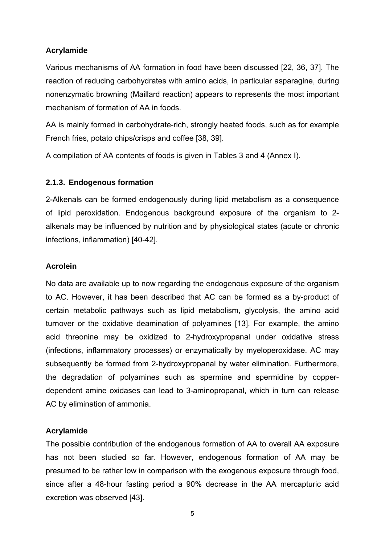#### **Acrylamide**

Various mechanisms of AA formation in food have been discussed [22, 36, 37]. The reaction of reducing carbohydrates with amino acids, in particular asparagine, during nonenzymatic browning (Maillard reaction) appears to represents the most important mechanism of formation of AA in foods.

AA is mainly formed in carbohydrate-rich, strongly heated foods, such as for example French fries, potato chips/crisps and coffee [38, 39].

A compilation of AA contents of foods is given in Tables 3 and 4 (Annex I).

#### **2.1.3. Endogenous formation**

2-Alkenals can be formed endogenously during lipid metabolism as a consequence of lipid peroxidation. Endogenous background exposure of the organism to 2 alkenals may be influenced by nutrition and by physiological states (acute or chronic infections, inflammation) [40-42].

#### **Acrolein**

No data are available up to now regarding the endogenous exposure of the organism to AC. However, it has been described that AC can be formed as a by-product of certain metabolic pathways such as lipid metabolism, glycolysis, the amino acid turnover or the oxidative deamination of polyamines [13]. For example, the amino acid threonine may be oxidized to 2-hydroxypropanal under oxidative stress (infections, inflammatory processes) or enzymatically by myeloperoxidase. AC may subsequently be formed from 2-hydroxypropanal by water elimination. Furthermore, the degradation of polyamines such as spermine and spermidine by copperdependent amine oxidases can lead to 3-aminopropanal, which in turn can release AC by elimination of ammonia.

#### **Acrylamide**

The possible contribution of the endogenous formation of AA to overall AA exposure has not been studied so far. However, endogenous formation of AA may be presumed to be rather low in comparison with the exogenous exposure through food, since after a 48-hour fasting period a 90% decrease in the AA mercapturic acid excretion was observed [43].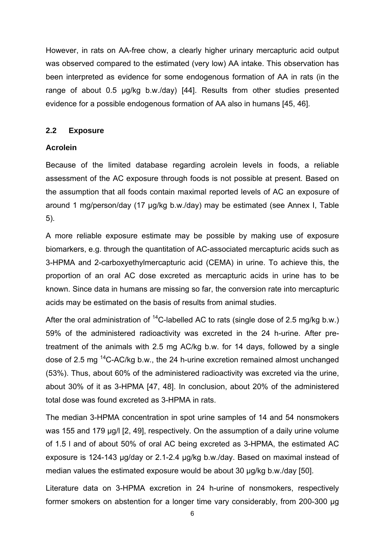However, in rats on AA-free chow, a clearly higher urinary mercapturic acid output was observed compared to the estimated (very low) AA intake. This observation has been interpreted as evidence for some endogenous formation of AA in rats (in the range of about 0.5 µg/kg b.w./day) [44]. Results from other studies presented evidence for a possible endogenous formation of AA also in humans [45, 46].

#### **2.2 Exposure**

#### **Acrolein**

Because of the limited database regarding acrolein levels in foods, a reliable assessment of the AC exposure through foods is not possible at present. Based on the assumption that all foods contain maximal reported levels of AC an exposure of around 1 mg/person/day (17 µg/kg b.w./day) may be estimated (see Annex I, Table 5).

A more reliable exposure estimate may be possible by making use of exposure biomarkers, e.g. through the quantitation of AC-associated mercapturic acids such as 3-HPMA and 2-carboxyethylmercapturic acid (CEMA) in urine. To achieve this, the proportion of an oral AC dose excreted as mercapturic acids in urine has to be known. Since data in humans are missing so far, the conversion rate into mercapturic acids may be estimated on the basis of results from animal studies.

After the oral administration of  $^{14}$ C-labelled AC to rats (single dose of 2.5 mg/kg b.w.) 59% of the administered radioactivity was excreted in the 24 h-urine. After pretreatment of the animals with 2.5 mg AC/kg b.w. for 14 days, followed by a single dose of 2.5 mg <sup>14</sup>C-AC/kg b.w., the 24 h-urine excretion remained almost unchanged (53%). Thus, about 60% of the administered radioactivity was excreted via the urine, about 30% of it as 3-HPMA [47, 48]. In conclusion, about 20% of the administered total dose was found excreted as 3-HPMA in rats.

The median 3-HPMA concentration in spot urine samples of 14 and 54 nonsmokers was 155 and 179 µg/l [2, 49], respectively. On the assumption of a daily urine volume of 1.5 l and of about 50% of oral AC being excreted as 3-HPMA, the estimated AC exposure is 124-143 µg/day or 2.1-2.4 µg/kg b.w./day. Based on maximal instead of median values the estimated exposure would be about 30 µg/kg b.w./day [50].

Literature data on 3-HPMA excretion in 24 h-urine of nonsmokers, respectively former smokers on abstention for a longer time vary considerably, from 200-300 µg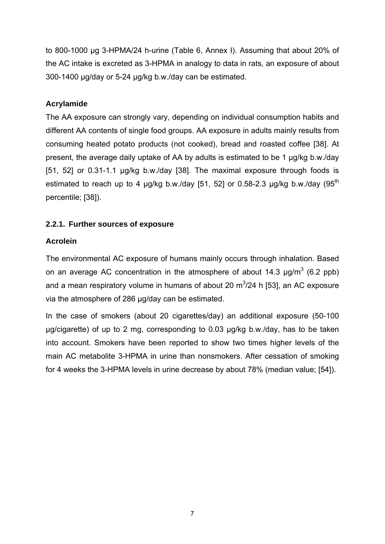to 800-1000 µg 3-HPMA/24 h-urine (Table 6, Annex I). Assuming that about 20% of the AC intake is excreted as 3-HPMA in analogy to data in rats, an exposure of about 300-1400 µg/day or 5-24 µg/kg b.w./day can be estimated.

#### **Acrylamide**

The AA exposure can strongly vary, depending on individual consumption habits and different AA contents of single food groups. AA exposure in adults mainly results from consuming heated potato products (not cooked), bread and roasted coffee [38]. At present, the average daily uptake of AA by adults is estimated to be 1 µg/kg b.w./day [51, 52] or 0.31-1.1 µg/kg b.w./day [38]. The maximal exposure through foods is estimated to reach up to 4  $\mu$ g/kg b.w./day [51, 52] or 0.58-2.3  $\mu$ g/kg b.w./day (95<sup>th</sup>) percentile; [38]).

#### **2.2.1. Further sources of exposure**

### **Acrolein**

The environmental AC exposure of humans mainly occurs through inhalation. Based on an average AC concentration in the atmosphere of about 14.3  $\mu$ g/m<sup>3</sup> (6.2 ppb) and a mean respiratory volume in humans of about 20  $\text{m}^3$ /24 h [53], an AC exposure via the atmosphere of 286 µg/day can be estimated.

In the case of smokers (about 20 cigarettes/day) an additional exposure (50-100 µg/cigarette) of up to 2 mg, corresponding to 0.03 µg/kg b.w./day, has to be taken into account. Smokers have been reported to show two times higher levels of the main AC metabolite 3-HPMA in urine than nonsmokers. After cessation of smoking for 4 weeks the 3-HPMA levels in urine decrease by about 78% (median value; [54]).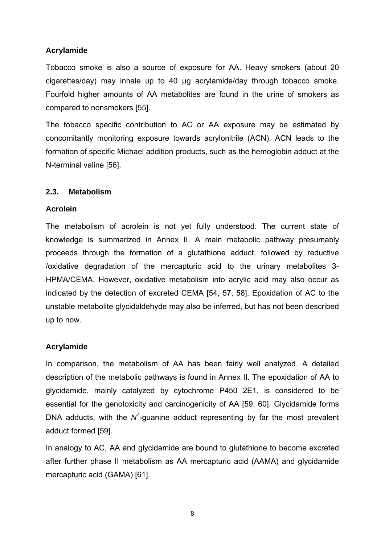#### **Acrylamide**

Tobacco smoke is also a source of exposure for AA. Heavy smokers (about 20 cigarettes/day) may inhale up to 40 µg acrylamide/day through tobacco smoke. Fourfold higher amounts of AA metabolites are found in the urine of smokers as compared to nonsmokers [55].

The tobacco specific contribution to AC or AA exposure may be estimated by concomitantly monitoring exposure towards acrylonitrile (ACN). ACN leads to the formation of specific Michael addition products, such as the hemoglobin adduct at the N-terminal valine [56].

#### **2.3. Metabolism**

#### **Acrolein**

The metabolism of acrolein is not yet fully understood. The current state of knowledge is summarized in Annex II. A main metabolic pathway presumably proceeds through the formation of a glutathione adduct, followed by reductive /oxidative degradation of the mercapturic acid to the urinary metabolites 3- HPMA/CEMA. However, oxidative metabolism into acrylic acid may also occur as indicated by the detection of excreted CEMA [54, 57, 58]. Epoxidation of AC to the unstable metabolite glycidaldehyde may also be inferred, but has not been described up to now.

#### **Acrylamide**

In comparison, the metabolism of AA has been fairly well analyzed. A detailed description of the metabolic pathways is found in Annex II. The epoxidation of AA to glycidamide, mainly catalyzed by cytochrome P450 2E1, is considered to be essential for the genotoxicity and carcinogenicity of AA [59, 60]. Glycidamide forms DNA adducts, with the  $N^7$ -guanine adduct representing by far the most prevalent adduct formed [59].

In analogy to AC, AA and glycidamide are bound to glutathione to become excreted after further phase II metabolism as AA mercapturic acid (AAMA) and glycidamide mercapturic acid (GAMA) [61].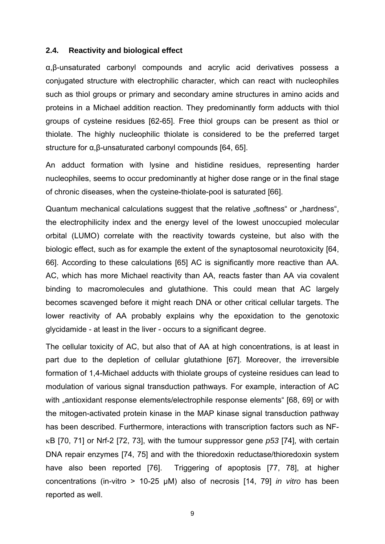#### **2.4. Reactivity and biological effect**

α,β-unsaturated carbonyl compounds and acrylic acid derivatives possess a conjugated structure with electrophilic character, which can react with nucleophiles such as thiol groups or primary and secondary amine structures in amino acids and proteins in a Michael addition reaction. They predominantly form adducts with thiol groups of cysteine residues [62-65]. Free thiol groups can be present as thiol or thiolate. The highly nucleophilic thiolate is considered to be the preferred target structure for α,β-unsaturated carbonyl compounds [64, 65].

An adduct formation with lysine and histidine residues, representing harder nucleophiles, seems to occur predominantly at higher dose range or in the final stage of chronic diseases, when the cysteine-thiolate-pool is saturated [66].

Quantum mechanical calculations suggest that the relative "softness" or "hardness", the electrophilicity index and the energy level of the lowest unoccupied molecular orbital (LUMO) correlate with the reactivity towards cysteine, but also with the biologic effect, such as for example the extent of the synaptosomal neurotoxicity [64, 66]. According to these calculations [65] AC is significantly more reactive than AA. AC, which has more Michael reactivity than AA, reacts faster than AA via covalent binding to macromolecules and glutathione. This could mean that AC largely becomes scavenged before it might reach DNA or other critical cellular targets. The lower reactivity of AA probably explains why the epoxidation to the genotoxic glycidamide - at least in the liver - occurs to a significant degree.

The cellular toxicity of AC, but also that of AA at high concentrations, is at least in part due to the depletion of cellular glutathione [67]. Moreover, the irreversible formation of 1,4-Michael adducts with thiolate groups of cysteine residues can lead to modulation of various signal transduction pathways. For example, interaction of AC with "antioxidant response elements/electrophile response elements" [68, 69] or with the mitogen-activated protein kinase in the MAP kinase signal transduction pathway has been described. Furthermore, interactions with transcription factors such as NFκB [70, 71] or Nrf-2 [72, 73], with the tumour suppressor gene *p53* [74], with certain DNA repair enzymes [74, 75] and with the thioredoxin reductase/thioredoxin system have also been reported [76]. Triggering of apoptosis [77, 78], at higher concentrations (in-vitro > 10-25 µM) also of necrosis [14, 79] *in vitro* has been reported as well.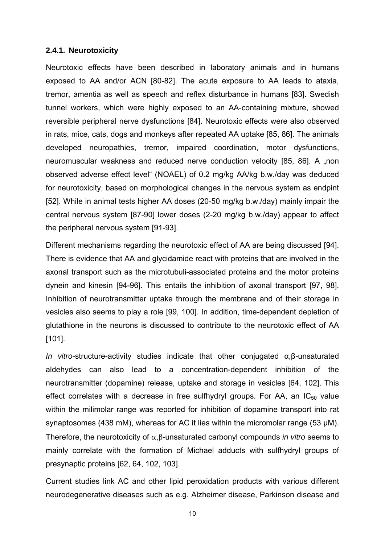#### **2.4.1. Neurotoxicity**

Neurotoxic effects have been described in laboratory animals and in humans exposed to AA and/or ACN [80-82]. The acute exposure to AA leads to ataxia, tremor, amentia as well as speech and reflex disturbance in humans [83]. Swedish tunnel workers, which were highly exposed to an AA-containing mixture, showed reversible peripheral nerve dysfunctions [84]. Neurotoxic effects were also observed in rats, mice, cats, dogs and monkeys after repeated AA uptake [85, 86]. The animals developed neuropathies, tremor, impaired coordination, motor dysfunctions, neuromuscular weakness and reduced nerve conduction velocity [85, 86]. A "non observed adverse effect level" (NOAEL) of 0.2 mg/kg AA/kg b.w./day was deduced for neurotoxicity, based on morphological changes in the nervous system as endpint [52]. While in animal tests higher AA doses (20-50 mg/kg b.w./day) mainly impair the central nervous system [87-90] lower doses (2-20 mg/kg b.w./day) appear to affect the peripheral nervous system [91-93].

Different mechanisms regarding the neurotoxic effect of AA are being discussed [94]. There is evidence that AA and glycidamide react with proteins that are involved in the axonal transport such as the microtubuli-associated proteins and the motor proteins dynein and kinesin [94-96]. This entails the inhibition of axonal transport [97, 98]. Inhibition of neurotransmitter uptake through the membrane and of their storage in vesicles also seems to play a role [99, 100]. In addition, time-dependent depletion of glutathione in the neurons is discussed to contribute to the neurotoxic effect of AA [101].

*In vitro*-structure-activity studies indicate that other conjugated α,β-unsaturated aldehydes can also lead to a concentration-dependent inhibition of the neurotransmitter (dopamine) release, uptake and storage in vesicles [64, 102]. This effect correlates with a decrease in free sulfhydryl groups. For AA, an  $IC_{50}$  value within the milimolar range was reported for inhibition of dopamine transport into rat synaptosomes (438 mM), whereas for AC it lies within the micromolar range (53 µM). Therefore, the neurotoxicity of α,β-unsaturated carbonyl compounds *in vitro* seems to mainly correlate with the formation of Michael adducts with sulfhydryl groups of presynaptic proteins [62, 64, 102, 103].

Current studies link AC and other lipid peroxidation products with various different neurodegenerative diseases such as e.g. Alzheimer disease, Parkinson disease and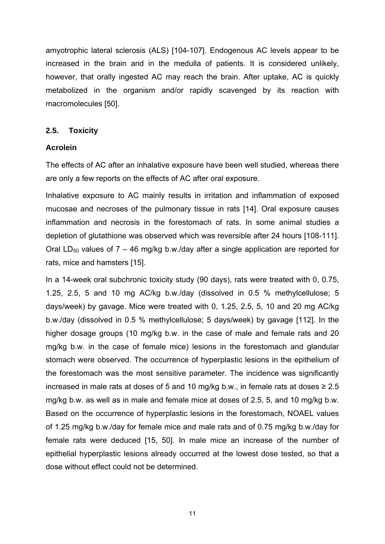amyotrophic lateral sclerosis (ALS) [104-107]. Endogenous AC levels appear to be increased in the brain and in the medulla of patients. It is considered unlikely, however, that orally ingested AC may reach the brain. After uptake, AC is quickly metabolized in the organism and/or rapidly scavenged by its reaction with macromolecules [50].

#### **2.5. Toxicity**

#### **Acrolein**

The effects of AC after an inhalative exposure have been well studied, whereas there are only a few reports on the effects of AC after oral exposure.

Inhalative exposure to AC mainly results in irritation and inflammation of exposed mucosae and necroses of the pulmonary tissue in rats [14]. Oral exposure causes inflammation and necrosis in the forestomach of rats. In some animal studies a depletion of glutathione was observed which was reversible after 24 hours [108-111]. Oral LD<sub>50</sub> values of  $7 - 46$  mg/kg b.w./day after a single application are reported for rats, mice and hamsters [15].

In a 14-week oral subchronic toxicity study (90 days), rats were treated with 0, 0.75, 1.25, 2.5, 5 and 10 mg AC/kg b.w./day (dissolved in 0.5 % methylcellulose; 5 days/week) by gavage. Mice were treated with 0, 1.25, 2.5, 5, 10 and 20 mg AC/kg b.w./day (dissolved in 0.5 % methylcellulose; 5 days/week) by gavage [112]. In the higher dosage groups (10 mg/kg b.w. in the case of male and female rats and 20 mg/kg b.w. in the case of female mice) lesions in the forestomach and glandular stomach were observed. The occurrence of hyperplastic lesions in the epithelium of the forestomach was the most sensitive parameter. The incidence was significantly increased in male rats at doses of 5 and 10 mg/kg b.w., in female rats at doses  $\geq 2.5$ mg/kg b.w. as well as in male and female mice at doses of 2.5, 5, and 10 mg/kg b.w. Based on the occurrence of hyperplastic lesions in the forestomach, NOAEL values of 1.25 mg/kg b.w./day for female mice and male rats and of 0.75 mg/kg b.w./day for female rats were deduced [15, 50]. In male mice an increase of the number of epithelial hyperplastic lesions already occurred at the lowest dose tested, so that a dose without effect could not be determined.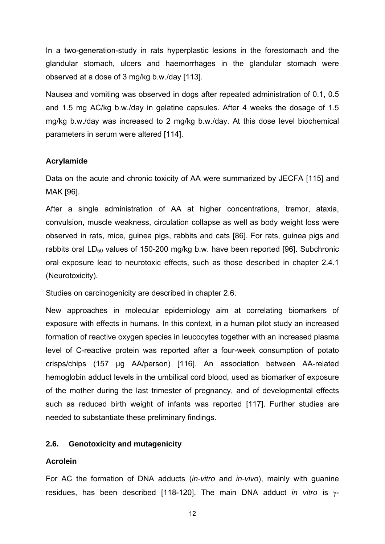In a two-generation-study in rats hyperplastic lesions in the forestomach and the glandular stomach, ulcers and haemorrhages in the glandular stomach were observed at a dose of 3 mg/kg b.w./day [113].

Nausea and vomiting was observed in dogs after repeated administration of 0.1, 0.5 and 1.5 mg AC/kg b.w./day in gelatine capsules. After 4 weeks the dosage of 1.5 mg/kg b.w./day was increased to 2 mg/kg b.w./day. At this dose level biochemical parameters in serum were altered [114].

#### **Acrylamide**

Data on the acute and chronic toxicity of AA were summarized by JECFA [115] and MAK [96].

After a single administration of AA at higher concentrations, tremor, ataxia, convulsion, muscle weakness, circulation collapse as well as body weight loss were observed in rats, mice, guinea pigs, rabbits and cats [86]. For rats, guinea pigs and rabbits oral  $LD_{50}$  values of 150-200 mg/kg b.w. have been reported [96]. Subchronic oral exposure lead to neurotoxic effects, such as those described in chapter 2.4.1 (Neurotoxicity).

Studies on carcinogenicity are described in chapter 2.6.

New approaches in molecular epidemiology aim at correlating biomarkers of exposure with effects in humans. In this context, in a human pilot study an increased formation of reactive oxygen species in leucocytes together with an increased plasma level of C-reactive protein was reported after a four-week consumption of potato crisps/chips (157 µg AA/person) [116]. An association between AA-related hemoglobin adduct levels in the umbilical cord blood, used as biomarker of exposure of the mother during the last trimester of pregnancy, and of developmental effects such as reduced birth weight of infants was reported [117]. Further studies are needed to substantiate these preliminary findings.

#### **2.6. Genotoxicity and mutagenicity**

#### **Acrolein**

For AC the formation of DNA adducts (*in-vitro* and *in-vivo*), mainly with guanine residues, has been described [118-120]. The main DNA adduct *in vitro* is γ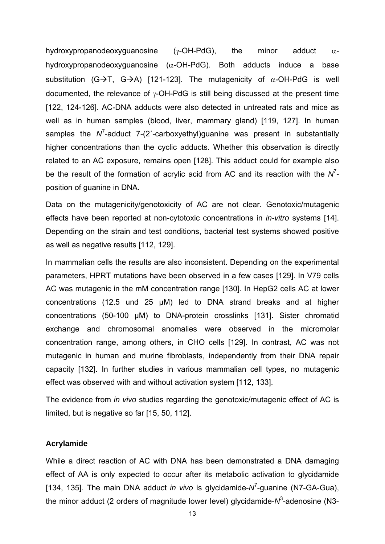hydroxypropanodeoxyguanosine ( $\gamma$ -OH-PdG), the minor adduct  $\alpha$ hydroxypropanodeoxyguanosine (α-OH-PdG). Both adducts induce a base substitution (G $\rightarrow$ T, G $\rightarrow$ A) [121-123]. The mutagenicity of  $\alpha$ -OH-PdG is well documented, the relevance of  $\gamma$ -OH-PdG is still being discussed at the present time [122, 124-126]. AC-DNA adducts were also detected in untreated rats and mice as well as in human samples (blood, liver, mammary gland) [119, 127]. In human samples the *N<sup>T</sup>*-adduct 7-(2<sup>-</sup>-carboxyethyl)guanine was present in substantially higher concentrations than the cyclic adducts. Whether this observation is directly related to an AC exposure, remains open [128]. This adduct could for example also be the result of the formation of acrylic acid from AC and its reaction with the  $N^7$ position of guanine in DNA.

Data on the mutagenicity/genotoxicity of AC are not clear. Genotoxic/mutagenic effects have been reported at non-cytotoxic concentrations in *in-vitro* systems [14]. Depending on the strain and test conditions, bacterial test systems showed positive as well as negative results [112, 129].

In mammalian cells the results are also inconsistent. Depending on the experimental parameters, HPRT mutations have been observed in a few cases [129]. In V79 cells AC was mutagenic in the mM concentration range [130]. In HepG2 cells AC at lower concentrations (12.5 und 25 µM) led to DNA strand breaks and at higher concentrations (50-100 µM) to DNA-protein crosslinks [131]. Sister chromatid exchange and chromosomal anomalies were observed in the micromolar concentration range, among others, in CHO cells [129]. In contrast, AC was not mutagenic in human and murine fibroblasts, independently from their DNA repair capacity [132]. In further studies in various mammalian cell types, no mutagenic effect was observed with and without activation system [112, 133].

The evidence from *in vivo* studies regarding the genotoxic/mutagenic effect of AC is limited, but is negative so far [15, 50, 112].

#### **Acrylamide**

While a direct reaction of AC with DNA has been demonstrated a DNA damaging effect of AA is only expected to occur after its metabolic activation to glycidamide [134, 135]. The main DNA adduct *in vivo* is glycidamide-N<sup>7</sup>-guanine (N7-GA-Gua), the minor adduct (2 orders of magnitude lower level) glycidamide-N<sup>3</sup>-adenosine (N3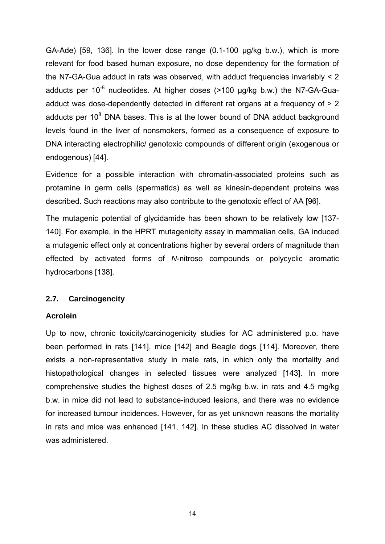GA-Ade) [59, 136]. In the lower dose range (0.1-100 µg/kg b.w.), which is more relevant for food based human exposure, no dose dependency for the formation of the N7-GA-Gua adduct in rats was observed, with adduct frequencies invariably < 2 adducts per  $10^{-8}$  nucleotides. At higher doses ( $>100$  µg/kg b.w.) the N7-GA-Guaadduct was dose-dependently detected in different rat organs at a frequency of  $> 2$ adducts per  $10<sup>8</sup>$  DNA bases. This is at the lower bound of DNA adduct background levels found in the liver of nonsmokers, formed as a consequence of exposure to DNA interacting electrophilic/ genotoxic compounds of different origin (exogenous or endogenous) [44].

Evidence for a possible interaction with chromatin-associated proteins such as protamine in germ cells (spermatids) as well as kinesin-dependent proteins was described. Such reactions may also contribute to the genotoxic effect of AA [96].

The mutagenic potential of glycidamide has been shown to be relatively low [137- 140]. For example, in the HPRT mutagenicity assay in mammalian cells, GA induced a mutagenic effect only at concentrations higher by several orders of magnitude than effected by activated forms of *N*-nitroso compounds or polycyclic aromatic hydrocarbons [138].

#### **2.7. Carcinogencity**

#### **Acrolein**

Up to now, chronic toxicity/carcinogenicity studies for AC administered p.o. have been performed in rats [141], mice [142] and Beagle dogs [114]. Moreover, there exists a non-representative study in male rats, in which only the mortality and histopathological changes in selected tissues were analyzed [143]. In more comprehensive studies the highest doses of 2.5 mg/kg b.w. in rats and 4.5 mg/kg b.w. in mice did not lead to substance-induced lesions, and there was no evidence for increased tumour incidences. However, for as yet unknown reasons the mortality in rats and mice was enhanced [141, 142]. In these studies AC dissolved in water was administered.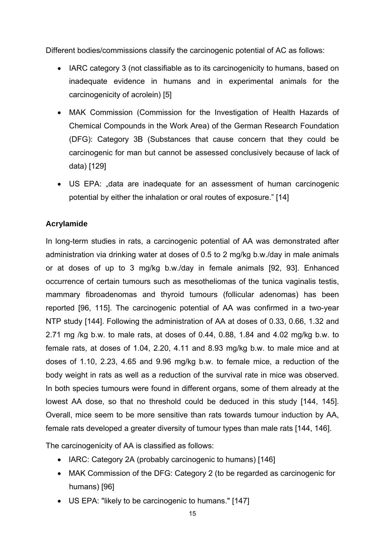Different bodies/commissions classify the carcinogenic potential of AC as follows:

- IARC category 3 (not classifiable as to its carcinogenicity to humans, based on inadequate evidence in humans and in experimental animals for the carcinogenicity of acrolein) [5]
- MAK Commission (Commission for the Investigation of Health Hazards of Chemical Compounds in the Work Area) of the German Research Foundation (DFG): Category 3B (Substances that cause concern that they could be carcinogenic for man but cannot be assessed conclusively because of lack of data) [129]
- US EPA: "data are inadequate for an assessment of human carcinogenic potential by either the inhalation or oral routes of exposure." [14]

### **Acrylamide**

In long-term studies in rats, a carcinogenic potential of AA was demonstrated after administration via drinking water at doses of 0.5 to 2 mg/kg b.w./day in male animals or at doses of up to 3 mg/kg b.w./day in female animals [92, 93]. Enhanced occurrence of certain tumours such as mesotheliomas of the tunica vaginalis testis, mammary fibroadenomas and thyroid tumours (follicular adenomas) has been reported [96, 115]. The carcinogenic potential of AA was confirmed in a two-year NTP study [144]. Following the administration of AA at doses of 0.33, 0.66, 1.32 and 2.71 mg /kg b.w. to male rats, at doses of 0.44, 0.88, 1.84 and 4.02 mg/kg b.w. to female rats, at doses of 1.04, 2.20, 4.11 and 8.93 mg/kg b.w. to male mice and at doses of 1.10, 2.23, 4.65 and 9.96 mg/kg b.w. to female mice, a reduction of the body weight in rats as well as a reduction of the survival rate in mice was observed. In both species tumours were found in different organs, some of them already at the lowest AA dose, so that no threshold could be deduced in this study [144, 145]. Overall, mice seem to be more sensitive than rats towards tumour induction by AA, female rats developed a greater diversity of tumour types than male rats [144, 146].

The carcinogenicity of AA is classified as follows:

- IARC: Category 2A (probably carcinogenic to humans) [146]
- MAK Commission of the DFG: Category 2 (to be regarded as carcinogenic for humans) [96]
- US EPA: "likely to be carcinogenic to humans." [147]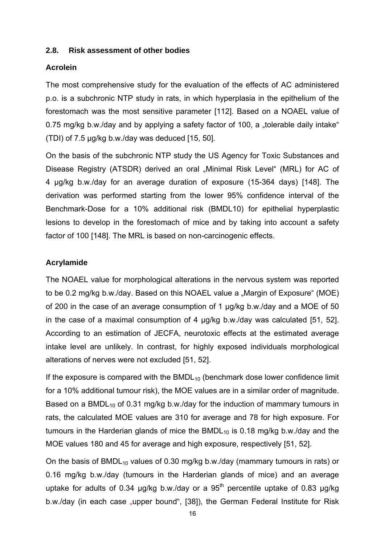#### **2.8. Risk assessment of other bodies**

#### **Acrolein**

The most comprehensive study for the evaluation of the effects of AC administered p.o. is a subchronic NTP study in rats, in which hyperplasia in the epithelium of the forestomach was the most sensitive parameter [112]. Based on a NOAEL value of 0.75 mg/kg b.w./day and by applying a safety factor of 100, a "tolerable daily intake" (TDI) of 7.5 µg/kg b.w./day was deduced [15, 50].

On the basis of the subchronic NTP study the US Agency for Toxic Substances and Disease Registry (ATSDR) derived an oral "Minimal Risk Level" (MRL) for AC of 4 µg/kg b.w./day for an average duration of exposure (15-364 days) [148]. The derivation was performed starting from the lower 95% confidence interval of the Benchmark-Dose for a 10% additional risk (BMDL10) for epithelial hyperplastic lesions to develop in the forestomach of mice and by taking into account a safety factor of 100 [148]. The MRL is based on non-carcinogenic effects.

#### **Acrylamide**

The NOAEL value for morphological alterations in the nervous system was reported to be 0.2 mg/kg b.w./day. Based on this NOAEL value a "Margin of Exposure" (MOE) of 200 in the case of an average consumption of 1 µg/kg b.w./day and a MOE of 50 in the case of a maximal consumption of 4 µg/kg b.w./day was calculated [51, 52]. According to an estimation of JECFA, neurotoxic effects at the estimated average intake level are unlikely. In contrast, for highly exposed individuals morphological alterations of nerves were not excluded [51, 52].

If the exposure is compared with the  $BMDL_{10}$  (benchmark dose lower confidence limit for a 10% additional tumour risk), the MOE values are in a similar order of magnitude. Based on a BMDL<sub>10</sub> of 0.31 mg/kg b.w./day for the induction of mammary tumours in rats, the calculated MOE values are 310 for average and 78 for high exposure. For tumours in the Harderian glands of mice the  $BMDL_{10}$  is 0.18 mg/kg b.w./day and the MOE values 180 and 45 for average and high exposure, respectively [51, 52].

On the basis of BMDL<sub>10</sub> values of 0.30 mg/kg b.w./day (mammary tumours in rats) or 0.16 mg/kg b.w./day (tumours in the Harderian glands of mice) and an average uptake for adults of 0.34  $\mu$ g/kg b.w./day or a 95<sup>th</sup> percentile uptake of 0.83  $\mu$ g/kg b.w./day (in each case "upper bound", [38]), the German Federal Institute for Risk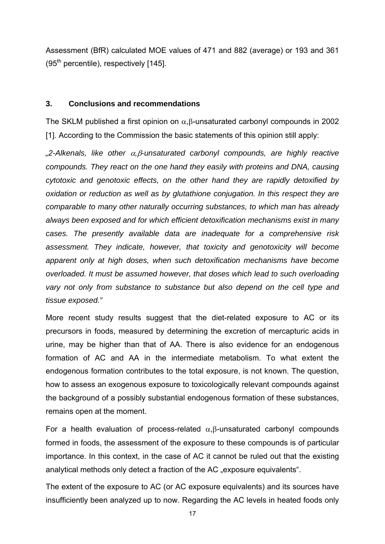Assessment (BfR) calculated MOE values of 471 and 882 (average) or 193 and 361  $(95<sup>th</sup>$  percentile), respectively [145].

#### **3. Conclusions and recommendations**

The SKLM published a first opinion on  $\alpha$ ,  $\beta$ -unsaturated carbonyl compounds in 2002 [1]. According to the Commission the basic statements of this opinion still apply:

*"2-Alkenals, like other* α*,*β*-unsaturated carbonyl compounds, are highly reactive compounds. They react on the one hand they easily with proteins and DNA, causing cytotoxic and genotoxic effects, on the other hand they are rapidly detoxified by oxidation or reduction as well as by glutathione conjugation. In this respect they are comparable to many other naturally occurring substances, to which man has already always been exposed and for which efficient detoxification mechanisms exist in many cases. The presently available data are inadequate for a comprehensive risk assessment. They indicate, however, that toxicity and genotoxicity will become apparent only at high doses, when such detoxification mechanisms have become overloaded. It must be assumed however, that doses which lead to such overloading vary not only from substance to substance but also depend on the cell type and tissue exposed."* 

More recent study results suggest that the diet-related exposure to AC or its precursors in foods, measured by determining the excretion of mercapturic acids in urine, may be higher than that of AA. There is also evidence for an endogenous formation of AC and AA in the intermediate metabolism. To what extent the endogenous formation contributes to the total exposure, is not known. The question, how to assess an exogenous exposure to toxicologically relevant compounds against the background of a possibly substantial endogenous formation of these substances, remains open at the moment.

For a health evaluation of process-related  $\alpha$ ,  $\beta$ -unsaturated carbonyl compounds formed in foods, the assessment of the exposure to these compounds is of particular importance. In this context, in the case of AC it cannot be ruled out that the existing analytical methods only detect a fraction of the AC "exposure equivalents".

The extent of the exposure to AC (or AC exposure equivalents) and its sources have insufficiently been analyzed up to now. Regarding the AC levels in heated foods only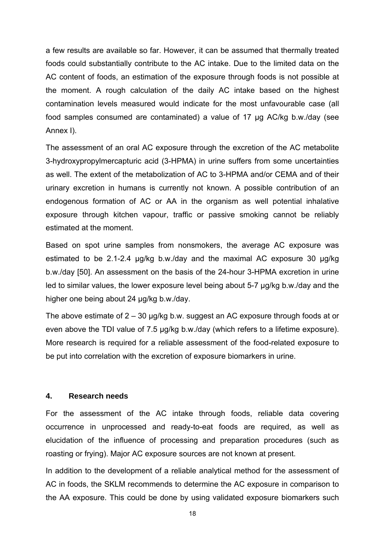a few results are available so far. However, it can be assumed that thermally treated foods could substantially contribute to the AC intake. Due to the limited data on the AC content of foods, an estimation of the exposure through foods is not possible at the moment. A rough calculation of the daily AC intake based on the highest contamination levels measured would indicate for the most unfavourable case (all food samples consumed are contaminated) a value of 17 µg AC/kg b.w./day (see Annex I).

The assessment of an oral AC exposure through the excretion of the AC metabolite 3-hydroxypropylmercapturic acid (3-HPMA) in urine suffers from some uncertainties as well. The extent of the metabolization of AC to 3-HPMA and/or CEMA and of their urinary excretion in humans is currently not known. A possible contribution of an endogenous formation of AC or AA in the organism as well potential inhalative exposure through kitchen vapour, traffic or passive smoking cannot be reliably estimated at the moment.

Based on spot urine samples from nonsmokers, the average AC exposure was estimated to be 2.1-2.4 µg/kg b.w./day and the maximal AC exposure 30 µg/kg b.w./day [50]. An assessment on the basis of the 24-hour 3-HPMA excretion in urine led to similar values, the lower exposure level being about 5-7 µg/kg b.w./day and the higher one being about 24 µg/kg b.w./day.

The above estimate of  $2 - 30$  µg/kg b.w. suggest an AC exposure through foods at or even above the TDI value of 7.5 µg/kg b.w./day (which refers to a lifetime exposure). More research is required for a reliable assessment of the food-related exposure to be put into correlation with the excretion of exposure biomarkers in urine.

#### **4. Research needs**

For the assessment of the AC intake through foods, reliable data covering occurrence in unprocessed and ready-to-eat foods are required, as well as elucidation of the influence of processing and preparation procedures (such as roasting or frying). Major AC exposure sources are not known at present.

In addition to the development of a reliable analytical method for the assessment of AC in foods, the SKLM recommends to determine the AC exposure in comparison to the AA exposure. This could be done by using validated exposure biomarkers such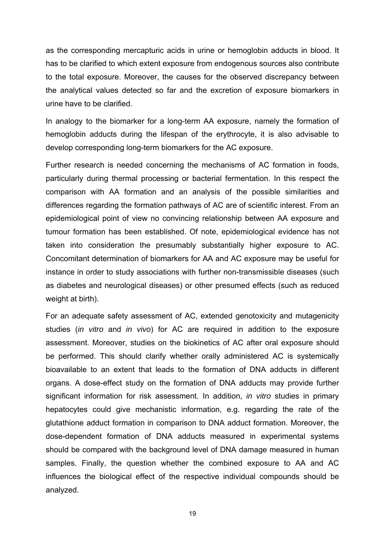as the corresponding mercapturic acids in urine or hemoglobin adducts in blood. It has to be clarified to which extent exposure from endogenous sources also contribute to the total exposure. Moreover, the causes for the observed discrepancy between the analytical values detected so far and the excretion of exposure biomarkers in urine have to be clarified.

In analogy to the biomarker for a long-term AA exposure, namely the formation of hemoglobin adducts during the lifespan of the erythrocyte, it is also advisable to develop corresponding long-term biomarkers for the AC exposure.

Further research is needed concerning the mechanisms of AC formation in foods, particularly during thermal processing or bacterial fermentation. In this respect the comparison with AA formation and an analysis of the possible similarities and differences regarding the formation pathways of AC are of scientific interest. From an epidemiological point of view no convincing relationship between AA exposure and tumour formation has been established. Of note, epidemiological evidence has not taken into consideration the presumably substantially higher exposure to AC. Concomitant determination of biomarkers for AA and AC exposure may be useful for instance in order to study associations with further non-transmissible diseases (such as diabetes and neurological diseases) or other presumed effects (such as reduced weight at birth).

For an adequate safety assessment of AC, extended genotoxicity and mutagenicity studies (*in vitro* and *in vivo*) for AC are required in addition to the exposure assessment. Moreover, studies on the biokinetics of AC after oral exposure should be performed. This should clarify whether orally administered AC is systemically bioavailable to an extent that leads to the formation of DNA adducts in different organs. A dose-effect study on the formation of DNA adducts may provide further significant information for risk assessment. In addition, *in vitro* studies in primary hepatocytes could give mechanistic information, e.g. regarding the rate of the glutathione adduct formation in comparison to DNA adduct formation. Moreover, the dose-dependent formation of DNA adducts measured in experimental systems should be compared with the background level of DNA damage measured in human samples. Finally, the question whether the combined exposure to AA and AC influences the biological effect of the respective individual compounds should be analyzed.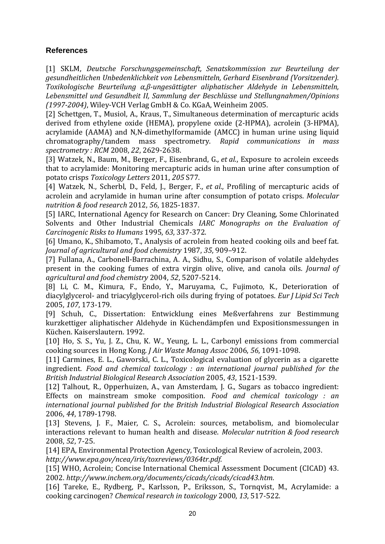#### **References**

[1] SKLM, *Deutsche Forschungsgemeinschaft, Senatskommission zur Beurteilung der gesundheitlichen Unbedenklichkeit von Lebensmitteln, Gerhard Eisenbrand (Vorsitzender). Toxikologische Beurteilung α,βungesättigter aliphatischer Aldehyde in Lebensmitteln, Lebensmittel und Gesundheit II, Sammlung der Beschlüsse und Stellungnahmen/Opinions (19972004)*, Wiley‐VCH Verlag GmbH & Co. KGaA, Weinheim 2005.

[2] Schettgen, T., Musiol, A., Kraus, T., Simultaneous determination of mercapturic acids derived from ethylene oxide (HEMA), propylene oxide (2‐HPMA), acrolein (3‐HPMA), acrylamide (AAMA) and N,N‐dimethylformamide (AMCC) in human urine using liquid chromatography/tandem mass spectrometry. *Rapid communications in mass spectrometry : RCM* 2008, *22*, 2629‐2638.

[3] Watzek, N., Baum, M., Berger, F., Eisenbrand, G.*, et al.*, Exposure to acrolein exceeds that to acrylamide: Monitoring mercapturic acids in human urine after consumption of potato crisps *Toxicology Letters* 2011, *205* S77.

[4] Watzek, N., Scherbl, D., Feld, J., Berger, F.*, et al.*, Profiling of mercapturic acids of acrolein and acrylamide in human urine after consumption of potato crisps. *Molecular nutrition & food research* 2012, *56*, 1825‐1837.

[5] IARC, International Agency for Research on Cancer: Dry Cleaning, Some Chlorinated Solvents and Other Industrial Chemicals *IARC Monographs on the Evaluation of Carcinogenic Risks to Humans* 1995, *63*, 337‐372.

[6] Umano, K., Shibamoto, T., Analysis of acrolein from heated cooking oils and beef fat. *Journal of agricultural and food chemistry* 1987, *35*, 909–912.

[7] Fullana, A., Carbonell-Barrachina, A. A., Sidhu, S., Comparison of volatile aldehydes present in the cooking fumes of extra virgin olive, olive, and canola oils. *Journal of agricultural and food chemistry* 2004, *52*, 5207‐5214.

[8] Li, C. M., Kimura, F., Endo, Y., Maruyama, C., Fujimoto, K., Deterioration of diacylglycerol‐ and triacylglycerol‐rich oils during frying of potatoes. *Eur J Lipid Sci Tech* 2005, *107*, 173‐179.

[9] Schuh, C., Dissertation: Entwicklung eines Meßverfahrens zur Bestimmung kurzkettiger aliphatischer Aldehyde in Küchendämpfen und Expositionsmessungen in Küchen. Kaiserslautern. 1992.

[10] Ho, S. S., Yu, J. Z., Chu, K. W., Yeung, L. L., Carbonyl emissions from commercial cooking sources in Hong Kong. *J Air Waste Manag Assoc* 2006, *56*, 1091‐1098.

[11] Carmines, E. L., Gaworski, C. L., Toxicological evaluation of glycerin as a cigarette ingredient. *Food and chemical toxicology : an international journal published for the British Industrial Biological Research Association* 2005, *43*, 1521‐1539.

[12] Talhout, R., Opperhuizen, A., van Amsterdam, J. G., Sugars as tobacco ingredient: Effects on mainstream smoke composition. *Food and chemical toxicology : an international journal published for the British Industrial Biological Research Association* 2006, *44*, 1789‐1798.

[13] Stevens, J. F., Maier, C. S., Acrolein: sources, metabolism, and biomolecular interactions relevant to human health and disease. *Molecular nutrition & food research* 2008, *52*, 7‐25.

[14] EPA, Environmental Protection Agency, Toxicological Review of acrolein, 2003. *http://www.epa.gov/ncea/iris/toxreviews/0364tr.pdf*.

[15] WHO, Acrolein; Concise International Chemical Assessment Document (CICAD) 43. 2002. *http://www.inchem.org/documents/cicads/cicads/cicad43.htm*.

[16] Tareke, E., Rydberg, P., Karlsson, P., Eriksson, S., Tornqvist, M., Acrylamide: a cooking carcinogen? *Chemical research in toxicology* 2000, *13*, 517‐522.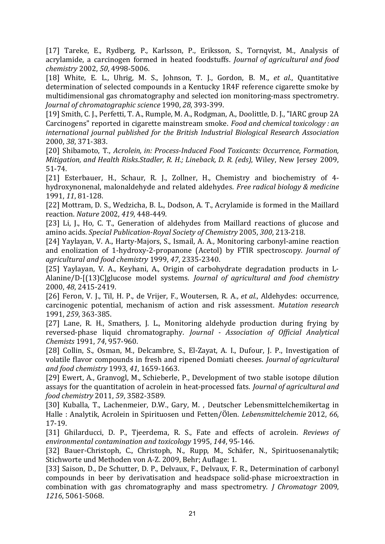[17] Tareke, E., Rydberg, P., Karlsson, P., Eriksson, S., Tornqvist, M., Analysis of acrylamide, a carcinogen formed in heated foodstuffs. *Journal of agricultural and food chemistry* 2002, *50*, 4998‐5006.

[18] White, E. L., Uhrig, M. S., Johnson, T. J., Gordon, B. M.*, et al.*, Quantitative determination of selected compounds in a Kentucky 1R4F reference cigarette smoke by multidimensional gas chromatography and selected ion monitoring‐mass spectrometry. *Journal of chromatographic science* 1990, *28*, 393‐399.

[19] Smith, C. J., Perfetti, T. A., Rumple, M. A., Rodgman, A., Doolittle, D. J., "IARC group 2A Carcinogens" reported in cigarette mainstream smoke. *Food and chemical toxicology : an international journal published for the British Industrial Biological Research Association* 2000, *38*, 371‐383.

[20] Shibamoto, T., *Acrolein, in: ProcessInduced Food Toxicants: Occurrence, Formation, Mitigation, and Health Risks.Stadler, R. H.; Lineback, D. R. (eds)*, Wiley, New Jersey 2009, 51‐74.

[21] Esterbauer, H., Schaur, R. J., Zollner, H., Chemistry and biochemistry of 4hydroxynonenal, malonaldehyde and related aldehydes. *Free radical biology & medicine* 1991, *11*, 81‐128.

[22] Mottram, D. S., Wedzicha, B. L., Dodson, A. T., Acrylamide is formed in the Maillard reaction. *Nature* 2002, *419*, 448‐449.

[23] Li, J., Ho, C. T., Generation of aldehydes from Maillard reactions of glucose and amino acids. *Special PublicationRoyal Society of Chemistry* 2005, *300*, 213‐218.

[24] Yaylayan, V. A., Harty-Majors, S., Ismail, A. A., Monitoring carbonyl-amine reaction and enolization of 1‐hydroxy‐2‐propanone (Acetol) by FTIR spectroscopy. *Journal of agricultural and food chemistry* 1999, *47*, 2335‐2340.

[25] Yaylayan, V. A., Keyhani, A., Origin of carbohydrate degradation products in L-Alanine/D‐[(13)C]glucose model systems. *Journal of agricultural and food chemistry* 2000, *48*, 2415‐2419.

[26] Feron, V. J., Til, H. P., de Vrijer, F., Woutersen, R. A.*, et al.*, Aldehydes: occurrence, carcinogenic potential, mechanism of action and risk assessment. *Mutation research* 1991, *259*, 363‐385.

[27] Lane, R. H., Smathers, J. L., Monitoring aldehyde production during frying by reversed‐phase liquid chromatography. *Journal Association of Official Analytical Chemists* 1991, *74*, 957‐960.

[28] Collin, S., Osman, M., Delcambre, S., El-Zayat, A. I., Dufour, J. P., Investigation of volatile flavor compounds in fresh and ripened Domiati cheeses. *Journal of agricultural and food chemistry* 1993, *41*, 1659‐1663.

[29] Ewert, A., Granvogl, M., Schieberle, P., Development of two stable isotope dilution assays for the quantitation of acrolein in heat‐processed fats. *Journal of agricultural and food chemistry* 2011, *59*, 3582‐3589.

[30] Kuballa, T., Lachenmeier, D.W., Gary, M. , Deutscher Lebensmittelchemikertag in Halle : Analytik, Acrolein in Spirituosen und Fetten/Ölen. *Lebensmittelchemie* 2012, *66*, 17‐19.

[31] Ghilarducci, D. P., Tjeerdema, R. S., Fate and effects of acrolein. *Reviews of environmental contamination and toxicology* 1995, *144*, 95‐146.

[32] Bauer‐Christoph, C., Christoph, N., Rupp, M., Schäfer, N., Spirituosenanalytik; Stichworte und Methoden von A‐Z. 2009, Behr; Auflage: 1.

[33] Saison, D., De Schutter, D. P., Delvaux, F., Delvaux, F. R., Determination of carbonyl compounds in beer by derivatisation and headspace solid‐phase microextraction in combination with gas chromatography and mass spectrometry. *J Chromatogr* 2009, *1216*, 5061‐5068.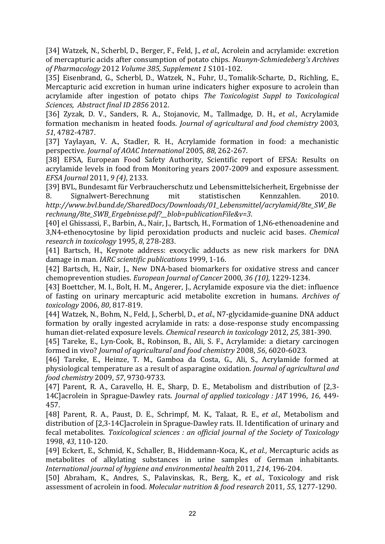[34] Watzek, N., Scherbl, D., Berger, F., Feld, J.*, et al.*, Acrolein and acrylamide: excretion of mercapturic acids after consumption of potato chips. *NaunynSchmiedeberg's Archives of Pharmacology* 2012 *Volume 385, Supplement 1* S101‐102.

[35] Eisenbrand, G., Scherbl, D., Watzek, N., Fuhr, U., Tomalik‐Scharte, D., Richling, E., Mercapturic acid excretion in human urine indicaters higher exposure to acrolein than acrylamide after ingestion of potato chips *The Toxicologist Suppl to Toxicological Sciences, Abstract final ID 2856* 2012.

[36] Zyzak, D. V., Sanders, R. A., Stojanovic, M., Tallmadge, D. H.*, et al.*, Acrylamide formation mechanism in heated foods. *Journal of agricultural and food chemistry* 2003, *51*, 4782‐4787.

[37] Yaylayan, V. A., Stadler, R. H., Acrylamide formation in food: a mechanistic perspective. *Journal of AOAC International* 2005, *88*, 262‐267.

[38] EFSA, European Food Safety Authority, Scientific report of EFSA: Results on acrylamide levels in food from Monitoring years 2007‐2009 and exposure assessment. *EFSA Journal* 2011, *9 (4)*, 2133.

[39] BVL, Bundesamt für Verbraucherschutz und Lebensmittelsicherheit, Ergebnisse der 8. Signalwert‐Berechnung mit statistischen Kennzahlen. 2010. *http://www.bvl.bund.de/SharedDocs/Downloads/01\_Lebensmittel/acrylamid/8te\_SW\_Be rechnung/8te\_SWB\_Ergebnisse.pdf?\_\_blob=publicationFile&v=3*.

[40] el Ghissassi, F., Barbin, A., Nair, J., Bartsch, H., Formation of 1,N6‐ethenoadenine and 3,N4‐ethenocytosine by lipid peroxidation products and nucleic acid bases. *Chemical research in toxicology* 1995, *8*, 278‐283.

[41] Bartsch, H., Keynote address: exocyclic adducts as new risk markers for DNA damage in man. *IARC scientific publications* 1999, 1‐16.

[42] Bartsch, H., Nair, J., New DNA-based biomarkers for oxidative stress and cancer chemoprevention studies. *European Journal of Cancer* 2000, *36 (10)*, 1229‐1234.

[43] Boettcher, M. I., Bolt, H. M., Angerer, J., Acrylamide exposure via the diet: influence of fasting on urinary mercapturic acid metabolite excretion in humans. *Archives of toxicology* 2006, *80*, 817‐819.

[44] Watzek, N., Bohm, N., Feld, J., Scherbl, D.*, et al.*, N7‐glycidamide‐guanine DNA adduct formation by orally ingested acrylamide in rats: a dose-response study encompassing human diet‐related exposure levels. *Chemical research in toxicology* 2012, *25*, 381‐390.

[45] Tareke, E., Lyn‐Cook, B., Robinson, B., Ali, S. F., Acrylamide: a dietary carcinogen formed in vivo? *Journal of agricultural and food chemistry* 2008, *56*, 6020‐6023.

[46] Tareke, E., Heinze, T. M., Gamboa da Costa, G., Ali, S., Acrylamide formed at physiological temperature as a result of asparagine oxidation. *Journal of agricultural and food chemistry* 2009, *57*, 9730‐9733.

[47] Parent, R. A., Caravello, H. E., Sharp, D. E., Metabolism and distribution of [2,3-14C]acrolein in Sprague‐Dawley rats. *Journal of applied toxicology : JAT* 1996, *16*, 449‐ 457.

[48] Parent, R. A., Paust, D. E., Schrimpf, M. K., Talaat, R. E.*, et al.*, Metabolism and distribution of [2,3‐14C]acrolein in Sprague‐Dawley rats. II. Identification of urinary and fecal metabolites. *Toxicological sciences : an official journal of the Society of Toxicology* 1998, *43*, 110‐120.

[49] Eckert, E., Schmid, K., Schaller, B., Hiddemann‐Koca, K.*, et al.*, Mercapturic acids as metabolites of alkylating substances in urine samples of German inhabitants. *International journal of hygiene and environmental health* 2011, *214*, 196‐204.

[50] Abraham, K., Andres, S., Palavinskas, R., Berg, K.*, et al.*, Toxicology and risk assessment of acrolein in food. *Molecular nutrition & food research* 2011, *55*, 1277‐1290.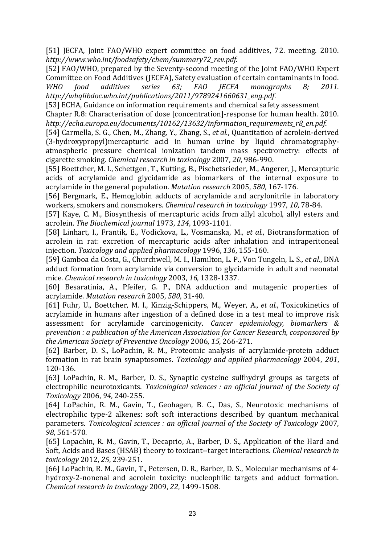[51] JECFA, Joint FAO/WHO expert committee on food additives, 72. meeting. 2010. *http://www.who.int/foodsafety/chem/summary72\_rev.pdf*.

[52] FAO/WHO, prepared by the Seventy‐second meeting of the Joint FAO/WHO Expert Committee on Food Additives (JECFA), Safety evaluation of certain contaminants in food. *WHO food additives series 63; FAO JECFA monographs 8; 2011. http://whqlibdoc.who.int/publications/2011/9789241660631\_eng.pdf*.

[53] ECHA, Guidance on information requirements and chemical safety assessment Chapter R.8: Characterisation of dose [concentration]‐response for human health. 2010. *http://echa.europa.eu/documents/10162/13632/information\_requirements\_r8\_en.pdf*.

[54] Carmella, S. G., Chen, M., Zhang, Y., Zhang, S.*, et al.*, Quantitation of acrolein‐derived (3‐hydroxypropyl)mercapturic acid in human urine by liquid chromatography‐ atmospheric pressure chemical ionization tandem mass spectrometry: effects of cigarette smoking. *Chemical research in toxicology* 2007, *20*, 986‐990.

[55] Boettcher, M. I., Schettgen, T., Kutting, B., Pischetsrieder, M., Angerer, J., Mercapturic acids of acrylamide and glycidamide as biomarkers of the internal exposure to acrylamide in the general population. *Mutation research* 2005, *580*, 167‐176.

[56] Bergmark, E., Hemoglobin adducts of acrylamide and acrylonitrile in laboratory workers, smokers and nonsmokers. *Chemical research in toxicology* 1997, *10*, 78‐84.

[57] Kaye, C. M., Biosynthesis of mercapturic acids from allyl alcohol, allyl esters and acrolein. *The Biochemical journal* 1973, *134*, 1093‐1101.

[58] Linhart, I., Frantik, E., Vodickova, L., Vosmanska, M.*, et al.*, Biotransformation of acrolein in rat: excretion of mercapturic acids after inhalation and intraperitoneal injection. *Toxicology and applied pharmacology* 1996, *136*, 155‐160.

[59] Gamboa da Costa, G., Churchwell, M. I., Hamilton, L. P., Von Tungeln, L. S.*, et al.*, DNA adduct formation from acrylamide via conversion to glycidamide in adult and neonatal mice. *Chemical research in toxicology* 2003, *16*, 1328‐1337.

[60] Besaratinia, A., Pfeifer, G. P., DNA adduction and mutagenic properties of acrylamide. *Mutation research* 2005, *580*, 31‐40.

[61] Fuhr, U., Boettcher, M. I., Kinzig‐Schippers, M., Weyer, A.*, et al.*, Toxicokinetics of acrylamide in humans after ingestion of a defined dose in a test meal to improve risk assessment for acrylamide carcinogenicity. *Cancer epidemiology, biomarkers & prevention : a publication of the American Association for Cancer Research, cosponsored by the American Society of Preventive Oncology* 2006, *15*, 266‐271.

[62] Barber, D. S., LoPachin, R. M., Proteomic analysis of acrylamide‐protein adduct formation in rat brain synaptosomes. *Toxicology and applied pharmacology* 2004, *201*, 120‐136.

[63] LoPachin, R. M., Barber, D. S., Synaptic cysteine sulfhydryl groups as targets of electrophilic neurotoxicants. *Toxicological sciences : an official journal of the Society of Toxicology* 2006, *94*, 240‐255.

[64] LoPachin, R. M., Gavin, T., Geohagen, B. C., Das, S., Neurotoxic mechanisms of electrophilic type-2 alkenes: soft soft interactions described by quantum mechanical parameters. *Toxicological sciences : an official journal of the Society of Toxicology* 2007, *98*, 561‐570.

[65] Lopachin, R. M., Gavin, T., Decaprio, A., Barber, D. S., Application of the Hard and Soft, Acids and Bases (HSAB) theory to toxicant‐‐target interactions. *Chemical research in toxicology* 2012, *25*, 239‐251.

[66] LoPachin, R. M., Gavin, T., Petersen, D. R., Barber, D. S., Molecular mechanisms of 4‐ hydroxy-2-nonenal and acrolein toxicity: nucleophilic targets and adduct formation. *Chemical research in toxicology* 2009, *22*, 1499‐1508.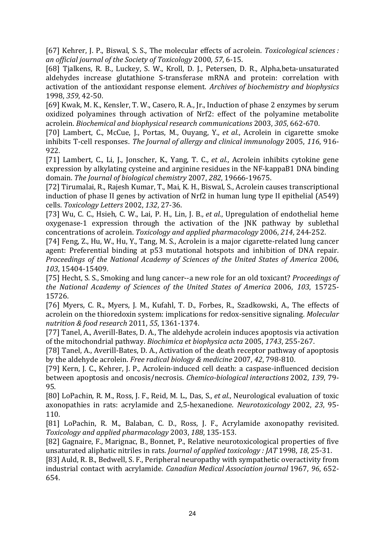[67] Kehrer, J. P., Biswal, S. S., The molecular effects of acrolein. *Toxicological sciences : an official journal of the Society of Toxicology* 2000, *57*, 6‐15.

[68] Tjalkens, R. B., Luckey, S. W., Kroll, D. J., Petersen, D. R., Alpha,beta‐unsaturated aldehydes increase glutathione S-transferase mRNA and protein: correlation with activation of the antioxidant response element. *Archives of biochemistry and biophysics* 1998, *359*, 42‐50.

[69] Kwak, M. K., Kensler, T. W., Casero, R. A., Jr., Induction of phase 2 enzymes by serum oxidized polyamines through activation of Nrf2: effect of the polyamine metabolite acrolein. *Biochemical and biophysical research communications* 2003, *305*, 662‐670.

[70] Lambert, C., McCue, J., Portas, M., Ouyang, Y.*, et al.*, Acrolein in cigarette smoke inhibits T‐cell responses. *The Journal of allergy and clinical immunology* 2005, *116*, 916‐ 922.

[71] Lambert, C., Li, J., Jonscher, K., Yang, T. C.*, et al.*, Acrolein inhibits cytokine gene expression by alkylating cysteine and arginine residues in the NF‐kappaB1 DNA binding domain. *The Journal of biological chemistry* 2007, *282*, 19666‐19675.

[72] Tirumalai, R., Rajesh Kumar, T., Mai, K. H., Biswal, S., Acrolein causes transcriptional induction of phase II genes by activation of Nrf2 in human lung type II epithelial (A549) cells. *Toxicology Letters* 2002, *132*, 27‐36.

[73] Wu, C. C., Hsieh, C. W., Lai, P. H., Lin, J. B.*, et al.*, Upregulation of endothelial heme oxygenase‐1 expression through the activation of the JNK pathway by sublethal concentrations of acrolein. *Toxicology and applied pharmacology* 2006, *214*, 244‐252.

[74] Feng, Z., Hu, W., Hu, Y., Tang, M. S., Acrolein is a major cigarette‐related lung cancer agent: Preferential binding at p53 mutational hotspots and inhibition of DNA repair. *Proceedings of the National Academy of Sciences of the United States of America* 2006, *103*, 15404‐15409.

[75] Hecht, S. S., Smoking and lung cancer‐‐a new role for an old toxicant? *Proceedings of the National Academy of Sciences of the United States of America* 2006, *103*, 15725‐ 15726.

[76] Myers, C. R., Myers, J. M., Kufahl, T. D., Forbes, R., Szadkowski, A., The effects of acrolein on the thioredoxin system: implications for redox‐sensitive signaling. *Molecular nutrition & food research* 2011, *55*, 1361‐1374.

[77] Tanel, A., Averill-Bates, D. A., The aldehyde acrolein induces apoptosis via activation of the mitochondrial pathway. *Biochimica et biophysica acta* 2005, *1743*, 255‐267.

[78] Tanel, A., Averill-Bates, D. A., Activation of the death receptor pathway of apoptosis by the aldehyde acrolein. *Free radical biology & medicine* 2007, *42*, 798‐810.

[79] Kern, J. C., Kehrer, J. P., Acrolein-induced cell death: a caspase-influenced decision between apoptosis and oncosis/necrosis. *Chemicobiological interactions* 2002, *139*, 79‐ 95.

[80] LoPachin, R. M., Ross, J. F., Reid, M. L., Das, S.*, et al.*, Neurological evaluation of toxic axonopathies in rats: acrylamide and 2,5‐hexanedione. *Neurotoxicology* 2002, *23*, 95‐ 110.

[81] LoPachin, R. M., Balaban, C. D., Ross, J. F., Acrylamide axonopathy revisited. *Toxicology and applied pharmacology* 2003, *188*, 135‐153.

[82] Gagnaire, F., Marignac, B., Bonnet, P., Relative neurotoxicological properties of five unsaturated aliphatic nitriles in rats. *Journal of applied toxicology : JAT* 1998, *18*, 25‐31.

[83] Auld, R. B., Bedwell, S. F., Peripheral neuropathy with sympathetic overactivity from industrial contact with acrylamide. *Canadian Medical Association journal* 1967, *96*, 652‐ 654.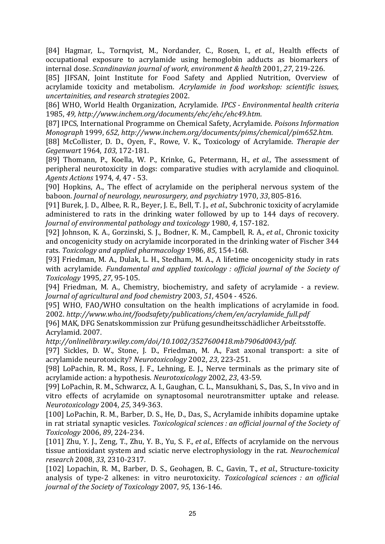[84] Hagmar, L., Tornqvist, M., Nordander, C., Rosen, I.*, et al.*, Health effects of occupational exposure to acrylamide using hemoglobin adducts as biomarkers of internal dose. *Scandinavian journal of work, environment & health* 2001, *27*, 219‐226.

[85] JIFSAN, Joint Institute for Food Safety and Applied Nutrition, Overview of acrylamide toxicity and metabolism. *Acrylamide in food workshop: scientific issues, uncertainities, and research strategies* 2002.

[86] WHO, World Health Organization, Acrylamide. *IPCS Environmental health criteria* 1985, *49, http://www.inchem.org/documents/ehc/ehc/ehc49.htm*.

[87] IPCS, International Programme on Chemical Safety, Acrylamide. *Poisons Information Monograph* 1999, *652, http://www.inchem.org/documents/pims/chemical/pim652.htm*.

[88] McCollister, D. D., Oyen, F., Rowe, V. K., Toxicology of Acrylamide. *Therapie der Gegenwart* 1964, *103*, 172‐181.

[89] Thomann, P., Koella, W. P., Krinke, G., Petermann, H.*, et al.*, The assessment of peripheral neurotoxicity in dogs: comparative studies with acrylamide and clioquinol. *Agents Actions* 1974, *4*, 47 ‐ 53.

[90] Hopkins, A., The effect of acrylamide on the peripheral nervous system of the baboon. *Journal of neurology, neurosurgery, and psychiatry* 1970, *33*, 805‐816.

[91] Burek, J. D., Albee, R. R., Beyer, J. E., Bell, T. J.*, et al.*, Subchronic toxicity of acrylamide administered to rats in the drinking water followed by up to 144 days of recovery. *Journal of environmental pathology and toxicology* 1980, *4*, 157‐182.

[92] Johnson, K. A., Gorzinski, S. J., Bodner, K. M., Campbell, R. A.*, et al.*, Chronic toxicity and oncogenicity study on acrylamide incorporated in the drinking water of Fischer 344 rats. *Toxicology and applied pharmacology* 1986, *85*, 154‐168.

[93] Friedman, M. A., Dulak, L. H., Stedham, M. A., A lifetime oncogenicity study in rats with acrylamide. *Fundamental and applied toxicology : official journal of the Society of Toxicology* 1995, *27*, 95‐105.

[94] Friedman, M. A., Chemistry, biochemistry, and safety of acrylamide - a review. *Journal of agricultural and food chemistry* 2003, *51*, 4504 ‐ 4526.

[95] WHO, FAO/WHO consultation on the health implications of acrylamide in food. 2002. *http://www.who.int/foodsafety/publications/chem/en/acrylamide\_full.pdf*

[96] MAK, DFG Senatskommission zur Prüfung gesundheitsschädlicher Arbeitsstoffe. Acrylamid. 2007.

*http://onlinelibrary.wiley.com/doi/10.1002/3527600418.mb7906d0043/pdf*.

[97] Sickles, D. W., Stone, J. D., Friedman, M. A., Fast axonal transport: a site of acrylamide neurotoxicity? *Neurotoxicology* 2002, *23*, 223‐251.

[98] LoPachin, R. M., Ross, J. F., Lehning, E. J., Nerve terminals as the primary site of acrylamide action: a hypothesis. *Neurotoxicology* 2002, *23*, 43‐59.

[99] LoPachin, R. M., Schwarcz, A. I., Gaughan, C. L., Mansukhani, S., Das, S., In vivo and in vitro effects of acrylamide on synaptosomal neurotransmitter uptake and release. *Neurotoxicology* 2004, *25*, 349‐363.

[100] LoPachin, R. M., Barber, D. S., He, D., Das, S., Acrylamide inhibits dopamine uptake in rat striatal synaptic vesicles. *Toxicological sciences : an official journal of the Society of Toxicology* 2006, *89*, 224‐234.

[101] Zhu, Y. J., Zeng, T., Zhu, Y. B., Yu, S. F.*, et al.*, Effects of acrylamide on the nervous tissue antioxidant system and sciatic nerve electrophysiology in the rat. *Neurochemical research* 2008, *33*, 2310‐2317.

[102] Lopachin, R. M., Barber, D. S., Geohagen, B. C., Gavin, T.*, et al.*, Structure‐toxicity analysis of type‐2 alkenes: in vitro neurotoxicity. *Toxicological sciences : an official journal of the Society of Toxicology* 2007, *95*, 136‐146.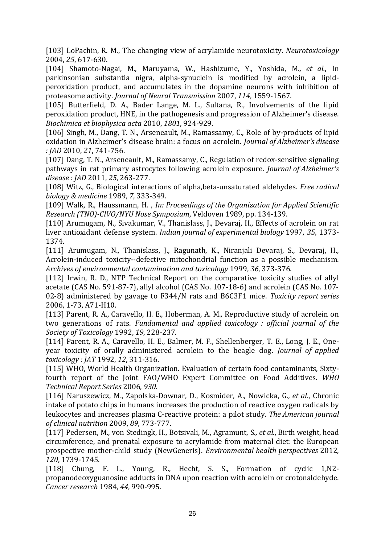[103] LoPachin, R. M., The changing view of acrylamide neurotoxicity. *Neurotoxicology* 2004, *25*, 617‐630.

[104] Shamoto‐Nagai, M., Maruyama, W., Hashizume, Y., Yoshida, M.*, et al.*, In parkinsonian substantia nigra, alpha‐synuclein is modified by acrolein, a lipid‐ peroxidation product, and accumulates in the dopamine neurons with inhibition of proteasome activity. *Journal of Neural Transmission* 2007, *114*, 1559‐1567.

[105] Butterfield, D. A., Bader Lange, M. L., Sultana, R., Involvements of the lipid peroxidation product, HNE, in the pathogenesis and progression of Alzheimer's disease. *Biochimica et biophysica acta* 2010, *1801*, 924‐929.

[106] Singh, M., Dang, T. N., Arseneault, M., Ramassamy, C., Role of by-products of lipid oxidation in Alzheimer's disease brain: a focus on acrolein. *Journal of Alzheimer's disease : JAD* 2010, *21*, 741‐756.

[107] Dang, T. N., Arseneault, M., Ramassamy, C., Regulation of redox-sensitive signaling pathways in rat primary astrocytes following acrolein exposure. *Journal of Alzheimer's disease : JAD* 2011, *25*, 263‐277.

[108] Witz, G., Biological interactions of alpha,beta‐unsaturated aldehydes. *Free radical biology & medicine* 1989, *7*, 333‐349.

[109] Walk, R., Haussmann, H. , *In: Proceedings of the Organization for Applied Scientific Research (TNO)CIVO/NYU Nose Symposium*, Veldoven 1989, pp. 134‐139.

[110] Arumugam, N., Sivakumar, V., Thanislass, J., Devaraj, H., Effects of acrolein on rat liver antioxidant defense system. *Indian journal of experimental biology* 1997, *35*, 1373‐ 1374.

[111] Arumugam, N., Thanislass, J., Ragunath, K., Niranjali Devaraj, S., Devaraj, H., Acrolein‐induced toxicity‐‐defective mitochondrial function as a possible mechanism. *Archives of environmental contamination and toxicology* 1999, *36*, 373‐376.

[112] Irwin, R. D., NTP Technical Report on the comparative toxicity studies of allyl acetate (CAS No. 591‐87‐7), allyl alcohol (CAS No. 107‐18‐6) and acrolein (CAS No. 107‐ 02‐8) administered by gavage to F344/N rats and B6C3F1 mice. *Toxicity report series* 2006, 1‐73, A71‐H10.

[113] Parent, R. A., Caravello, H. E., Hoberman, A. M., Reproductive study of acrolein on two generations of rats. *Fundamental and applied toxicology : official journal of the Society of Toxicology* 1992, *19*, 228‐237.

[114] Parent, R. A., Caravello, H. E., Balmer, M. F., Shellenberger, T. E., Long, J. E., One‐ year toxicity of orally administered acrolein to the beagle dog. *Journal of applied toxicology : JAT* 1992, *12*, 311‐316.

[115] WHO, World Health Organization. Evaluation of certain food contaminants, Sixtyfourth report of the Joint FAO/WHO Expert Committee on Food Additives. *WHO Technical Report Series* 2006, *930*.

[116] Naruszewicz, M., Zapolska‐Downar, D., Kosmider, A., Nowicka, G.*, et al.*, Chronic intake of potato chips in humans increases the production of reactive oxygen radicals by leukocytes and increases plasma C‐reactive protein: a pilot study. *The American journal of clinical nutrition* 2009, *89*, 773‐777.

[117] Pedersen, M., von Stedingk, H., Botsivali, M., Agramunt, S.*, et al.*, Birth weight, head circumference, and prenatal exposure to acrylamide from maternal diet: the European prospective mother‐child study (NewGeneris). *Environmental health perspectives* 2012, *120*, 1739‐1745.

[118] Chung, F. L., Young, R., Hecht, S. S., Formation of cyclic 1,N2propanodeoxyguanosine adducts in DNA upon reaction with acrolein or crotonaldehyde. *Cancer research* 1984, *44*, 990‐995.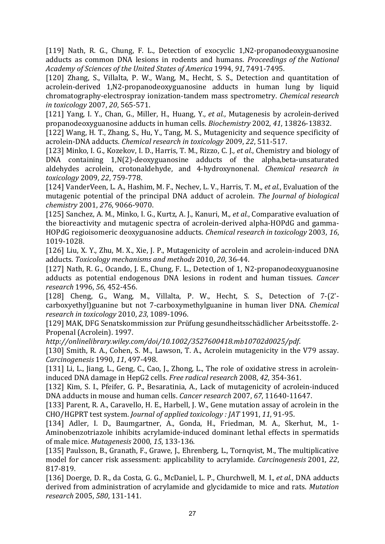[119] Nath, R. G., Chung, F. L., Detection of exocyclic 1,N2-propanodeoxyguanosine adducts as common DNA lesions in rodents and humans. *Proceedings of the National Academy of Sciences of the United States of America* 1994, *91*, 7491‐7495.

[120] Zhang, S., Villalta, P. W., Wang, M., Hecht, S. S., Detection and quantitation of acrolein‐derived 1,N2‐propanodeoxyguanosine adducts in human lung by liquid chromatography‐electrospray ionization‐tandem mass spectrometry. *Chemical research in toxicology* 2007, *20*, 565‐571.

[121] Yang, I. Y., Chan, G., Miller, H., Huang, Y.*, et al.*, Mutagenesis by acrolein‐derived propanodeoxyguanosine adducts in human cells. *Biochemistry* 2002, *41*, 13826‐13832.

[122] Wang, H. T., Zhang, S., Hu, Y., Tang, M. S., Mutagenicity and sequence specificity of acrolein‐DNA adducts. *Chemical research in toxicology* 2009, *22*, 511‐517.

[123] Minko, I. G., Kozekov, I. D., Harris, T. M., Rizzo, C. J.*, et al.*, Chemistry and biology of DNA containing 1,N(2)-deoxyguanosine adducts of the alpha, beta-unsaturated aldehydes acrolein, crotonaldehyde, and 4‐hydroxynonenal. *Chemical research in toxicology* 2009, *22*, 759‐778.

[124] VanderVeen, L. A., Hashim, M. F., Nechev, L. V., Harris, T. M.*, et al.*, Evaluation of the mutagenic potential of the principal DNA adduct of acrolein. *The Journal of biological chemistry* 2001, *276*, 9066‐9070.

[125] Sanchez, A. M., Minko, I. G., Kurtz, A. J., Kanuri, M.*, et al.*, Comparative evaluation of the bioreactivity and mutagenic spectra of acrolein‐derived alpha‐HOPdG and gamma‐ HOPdG regioisomeric deoxyguanosine adducts. *Chemical research in toxicology* 2003, *16*, 1019‐1028.

[126] Liu, X. Y., Zhu, M. X., Xie, J. P., Mutagenicity of acrolein and acrolein-induced DNA adducts. *Toxicology mechanisms and methods* 2010, *20*, 36‐44.

[127] Nath, R. G., Ocando, J. E., Chung, F. L., Detection of 1, N2-propanodeoxyguanosine adducts as potential endogenous DNA lesions in rodent and human tissues. *Cancer research* 1996, *56*, 452‐456.

[128] Cheng, G., Wang, M., Villalta, P. W., Hecht, S. S., Detection of 7-(2'carboxyethyl)guanine but not 7‐carboxymethylguanine in human liver DNA. *Chemical research in toxicology* 2010, *23*, 1089‐1096.

[129] MAK, DFG Senatskommission zur Prüfung gesundheitsschädlicher Arbeitsstoffe. 2‐ Propenal (Acrolein). 1997.

*http://onlinelibrary.wiley.com/doi/10.1002/3527600418.mb10702d0025/pdf*.

[130] Smith, R. A., Cohen, S. M., Lawson, T. A., Acrolein mutagenicity in the V79 assay. *Carcinogenesis* 1990, *11*, 497‐498.

[131] Li, L., Jiang, L., Geng, C., Cao, J., Zhong, L., The role of oxidative stress in acroleininduced DNA damage in HepG2 cells. *Free radical research* 2008, *42*, 354‐361.

[132] Kim, S. I., Pfeifer, G. P., Besaratinia, A., Lack of mutagenicity of acrolein-induced DNA adducts in mouse and human cells. *Cancer research* 2007, *67*, 11640‐11647.

[133] Parent, R. A., Caravello, H. E., Harbell, J. W., Gene mutation assay of acrolein in the CHO/HGPRT test system. *Journal of applied toxicology : JAT* 1991, *11*, 91‐95.

[134] Adler, I. D., Baumgartner, A., Gonda, H., Friedman, M. A., Skerhut, M., 1-Aminobenzotriazole inhibits acrylamide‐induced dominant lethal effects in spermatids of male mice. *Mutagenesis* 2000, *15*, 133‐136.

[135] Paulsson, B., Granath, F., Grawe, J., Ehrenberg, L., Tornqvist, M., The multiplicative model for cancer risk assessment: applicability to acrylamide. *Carcinogenesis* 2001, *22*, 817‐819.

[136] Doerge, D. R., da Costa, G. G., McDaniel, L. P., Churchwell, M. I.*, et al.*, DNA adducts derived from administration of acrylamide and glycidamide to mice and rats. *Mutation research* 2005, *580*, 131‐141.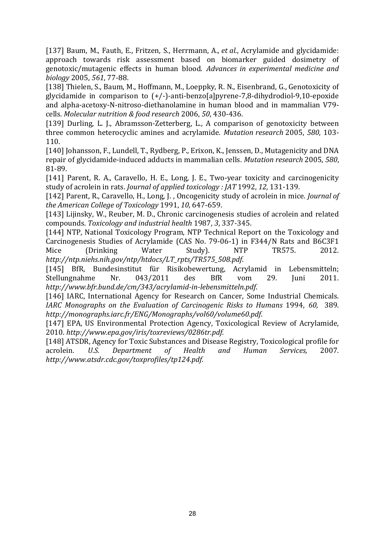[137] Baum, M., Fauth, E., Fritzen, S., Herrmann, A.*, et al.*, Acrylamide and glycidamide: approach towards risk assessment based on biomarker guided dosimetry of genotoxic/mutagenic effects in human blood. *Advances in experimental medicine and biology* 2005, *561*, 77‐88.

[138] Thielen, S., Baum, M., Hoffmann, M., Loeppky, R. N., Eisenbrand, G., Genotoxicity of glycidamide in comparison to (+/‐)‐anti‐benzo[a]pyrene‐7,8‐dihydrodiol‐9,10‐epoxide and alpha‐acetoxy‐N‐nitroso‐diethanolamine in human blood and in mammalian V79‐ cells. *Molecular nutrition & food research* 2006, *50*, 430‐436.

[139] Durling, L. J., Abramsson-Zetterberg, L., A comparison of genotoxicity between three common heterocyclic amines and acrylamide. *Mutation research* 2005, *580*, 103‐ 110.

[140] Johansson, F., Lundell, T., Rydberg, P., Erixon, K., Jenssen, D., Mutagenicity and DNA repair of glycidamide‐induced adducts in mammalian cells. *Mutation research* 2005, *580*, 81‐89.

[141] Parent, R. A., Caravello, H. E., Long, J. E., Two-year toxicity and carcinogenicity study of acrolein in rats. *Journal of applied toxicology : JAT* 1992, *12*, 131‐139.

[142] Parent, R., Caravello, H., Long, J. , Oncogenicity study of acrolein in mice. *Journal of the American College of Toxicology* 1991, *10*, 647‐659.

[143] Lijinsky, W., Reuber, M. D., Chronic carcinogenesis studies of acrolein and related compounds. *Toxicology and industrial health* 1987, *3*, 337‐345.

[144] NTP, National Toxicology Program, NTP Technical Report on the Toxicology and Carcinogenesis Studies of Acrylamide (CAS No. 79‐06‐1) in F344/N Rats and B6C3F1 Mice (Drinking Water Study). NTP TR575. 2012. *http://ntp.niehs.nih.gov/ntp/htdocs/LT\_rpts/TR575\_508.pdf*.

[145] BfR, Bundesinstitut für Risikobewertung, Acrylamid in Lebensmitteln; Stellungnahme Nr. 043/2011 des BfR vom 29. Juni 2011. *http://www.bfr.bund.de/cm/343/acrylamidinlebensmitteln.pdf*.

[146] IARC, International Agency for Research on Cancer, Some Industrial Chemicals. *IARC Monographs on the Evaluation of Carcinogenic Risks to Humans* 1994, *60,*  389. *http://monographs.iarc.fr/ENG/Monographs/vol60/volume60.pdf*.

[147] EPA, US Environmental Protection Agency, Toxicological Review of Acrylamide, 2010. *http://www.epa.gov/iris/toxreviews/0286tr.pdf*.

[148] ATSDR, Agency for Toxic Substances and Disease Registry, Toxicological profile for acrolein. *U.S. Department of Health and Human Services,* 2007. *http://www.atsdr.cdc.gov/toxprofiles/tp124.pdf*.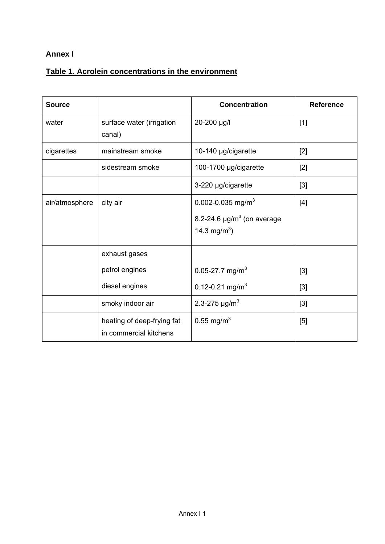### **Annex I**

## **Table 1. Acrolein concentrations in the environment**

| <b>Source</b>  |                                                      | <b>Concentration</b>                                                                                     | <b>Reference</b> |
|----------------|------------------------------------------------------|----------------------------------------------------------------------------------------------------------|------------------|
| water          | surface water (irrigation<br>canal)                  | 20-200 µg/l                                                                                              | $[1]$            |
| cigarettes     | mainstream smoke                                     | 10-140 µg/cigarette                                                                                      | $[2]$            |
|                | sidestream smoke                                     | 100-1700 µg/cigarette                                                                                    | $[2]$            |
|                |                                                      | 3-220 µg/cigarette                                                                                       | $[3]$            |
| air/atmosphere | city air                                             | 0.002-0.035 mg/m <sup>3</sup><br>8.2-24.6 $\mu$ g/m <sup>3</sup> (on average<br>14.3 mg/m <sup>3</sup> ) | $[4]$            |
|                | exhaust gases<br>petrol engines                      | 0.05-27.7 mg/m <sup>3</sup>                                                                              | $[3]$            |
|                | diesel engines                                       | 0.12-0.21 mg/m <sup>3</sup>                                                                              | $[3]$            |
|                | smoky indoor air                                     | 2.3-275 $\mu$ g/m <sup>3</sup>                                                                           | $[3]$            |
|                | heating of deep-frying fat<br>in commercial kitchens | 0.55 mg/m <sup>3</sup>                                                                                   | [5]              |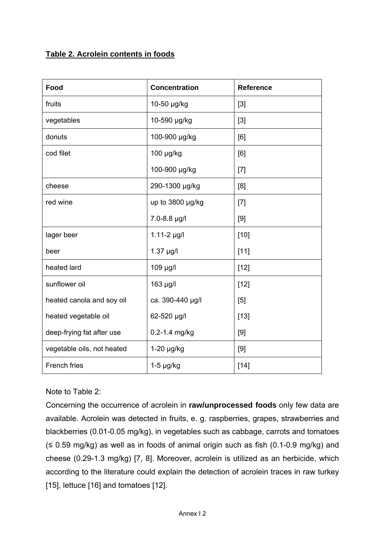### **Table 2. Acrolein contents in foods**

| Food                       | <b>Concentration</b> | <b>Reference</b> |
|----------------------------|----------------------|------------------|
| fruits                     | 10-50 µg/kg          | $[3]$            |
| vegetables                 | 10-590 µg/kg         | $[3]$            |
| donuts                     | 100-900 µg/kg        | [6]              |
| cod filet                  | 100 µg/kg            | [6]              |
|                            | 100-900 µg/kg        | $[7]$            |
| cheese                     | 290-1300 µg/kg       | [8]              |
| red wine                   | up to 3800 µg/kg     | $[7]$            |
|                            | 7.0-8.8 µg/l         | [9]              |
| lager beer                 | $1.11 - 2$ µg/l      | $[10]$           |
| beer                       | $1.37$ µg/l          | $[11]$           |
| heated lard                | 109 µg/l             | $[12]$           |
| sunflower oil              | 163 µg/l             | $[12]$           |
| heated canola and soy oil  | ca. 390-440 µg/l     | $[5]$            |
| heated vegetable oil       | 62-520 µg/l          | $[13]$           |
| deep-frying fat after use  | 0.2-1.4 mg/kg        | [9]              |
| vegetable oils, not heated | $1-20$ µg/kg         | [9]              |
| <b>French fries</b>        | $1-5$ µg/kg          | $[14]$           |

#### Note to Table 2:

Concerning the occurrence of acrolein in **raw/unprocessed foods** only few data are available. Acrolein was detected in fruits, e. g. raspberries, grapes, strawberries and blackberries (0.01-0.05 mg/kg), in vegetables such as cabbage, carrots and tomatoes  $(\leq 0.59 \text{ mg/kg})$  as well as in foods of animal origin such as fish (0.1-0.9 mg/kg) and cheese (0.29-1.3 mg/kg) [7, 8]. Moreover, acrolein is utilized as an herbicide, which according to the literature could explain the detection of acrolein traces in raw turkey [15], lettuce [16] and tomatoes [12].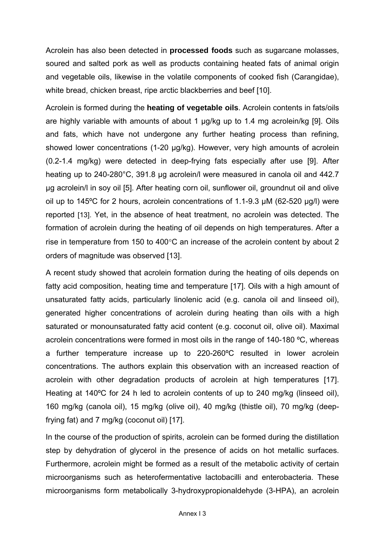Acrolein has also been detected in **processed foods** such as sugarcane molasses, soured and salted pork as well as products containing heated fats of animal origin and vegetable oils, likewise in the volatile components of cooked fish (Carangidae), white bread, chicken breast, ripe arctic blackberries and beef [10].

Acrolein is formed during the **heating of vegetable oils**. Acrolein contents in fats/oils are highly variable with amounts of about 1 µg/kg up to 1.4 mg acrolein/kg [9]. Oils and fats, which have not undergone any further heating process than refining, showed lower concentrations (1-20 µg/kg). However, very high amounts of acrolein (0.2-1.4 mg/kg) were detected in deep-frying fats especially after use [9]. After heating up to 240-280°C, 391.8 µg acrolein/l were measured in canola oil and 442.7 µg acrolein/l in soy oil [5]. After heating corn oil, sunflower oil, groundnut oil and olive oil up to 145ºC for 2 hours, acrolein concentrations of 1.1-9.3 µM (62-520 µg/l) were reported [13]. Yet, in the absence of heat treatment, no acrolein was detected. The formation of acrolein during the heating of oil depends on high temperatures. After a rise in temperature from 150 to 400°C an increase of the acrolein content by about 2 orders of magnitude was observed [13].

A recent study showed that acrolein formation during the heating of oils depends on fatty acid composition, heating time and temperature [17]. Oils with a high amount of unsaturated fatty acids, particularly linolenic acid (e.g. canola oil and linseed oil), generated higher concentrations of acrolein during heating than oils with a high saturated or monounsaturated fatty acid content (e.g. coconut oil, olive oil). Maximal acrolein concentrations were formed in most oils in the range of 140-180 ºC, whereas a further temperature increase up to 220-260ºC resulted in lower acrolein concentrations. The authors explain this observation with an increased reaction of acrolein with other degradation products of acrolein at high temperatures [17]. Heating at 140ºC for 24 h led to acrolein contents of up to 240 mg/kg (linseed oil), 160 mg/kg (canola oil), 15 mg/kg (olive oil), 40 mg/kg (thistle oil), 70 mg/kg (deepfrying fat) and 7 mg/kg (coconut oil) [17].

In the course of the production of spirits, acrolein can be formed during the distillation step by dehydration of glycerol in the presence of acids on hot metallic surfaces. Furthermore, acrolein might be formed as a result of the metabolic activity of certain microorganisms such as heterofermentative lactobacilli and enterobacteria. These microorganisms form metabolically 3-hydroxypropionaldehyde (3-HPA), an acrolein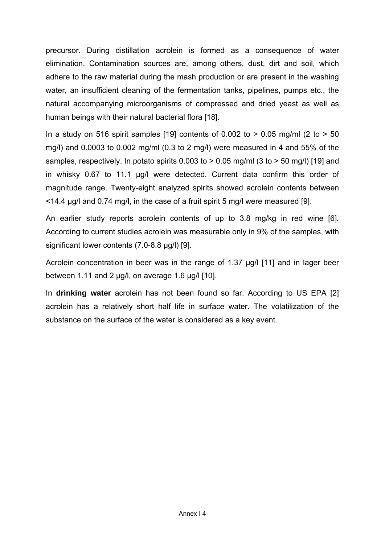precursor. During distillation acrolein is formed as a consequence of water elimination. Contamination sources are, among others, dust, dirt and soil, which adhere to the raw material during the mash production or are present in the washing water, an insufficient cleaning of the fermentation tanks, pipelines, pumps etc., the natural accompanying microorganisms of compressed and dried yeast as well as human beings with their natural bacterial flora [18].

In a study on 516 spirit samples [19] contents of  $0.002$  to  $> 0.05$  mg/ml (2 to  $> 50$ mg/l) and 0.0003 to 0.002 mg/ml (0.3 to 2 mg/l) were measured in 4 and 55% of the samples, respectively. In potato spirits  $0.003$  to  $> 0.05$  mg/ml (3 to  $> 50$  mg/l) [19] and in whisky 0.67 to 11.1 µg/l were detected. Current data confirm this order of magnitude range. Twenty-eight analyzed spirits showed acrolein contents between <14.4 µg/l and 0.74 mg/l, in the case of a fruit spirit 5 mg/l were measured [9].

An earlier study reports acrolein contents of up to 3.8 mg/kg in red wine [6]. According to current studies acrolein was measurable only in 9% of the samples, with significant lower contents (7.0-8.8 µg/l) [9].

Acrolein concentration in beer was in the range of 1.37 µg/l [11] and in lager beer between 1.11 and 2  $\mu$ g/l, on average 1.6  $\mu$ g/l [10].

In **drinking water** acrolein has not been found so far. According to US EPA [2] acrolein has a relatively short half life in surface water. The volatilization of the substance on the surface of the water is considered as a key event.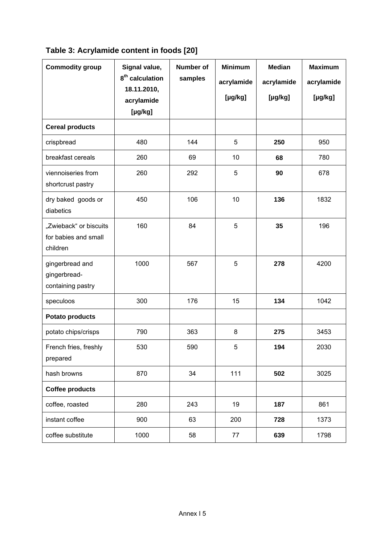|  | Table 3: Acrylamide content in foods [20] |  |  |
|--|-------------------------------------------|--|--|
|  |                                           |  |  |

| <b>Commodity group</b>                                     | Signal value,<br>8 <sup>th</sup> calculation<br>18.11.2010,<br>acrylamide<br>$[\mu g/kg]$ | <b>Number of</b><br>samples | <b>Minimum</b><br>acrylamide<br>$[\mu g/kg]$ | <b>Median</b><br>acrylamide<br>$[\mu g/kg]$ | <b>Maximum</b><br>acrylamide<br>[µg/kg] |
|------------------------------------------------------------|-------------------------------------------------------------------------------------------|-----------------------------|----------------------------------------------|---------------------------------------------|-----------------------------------------|
| <b>Cereal products</b>                                     |                                                                                           |                             |                                              |                                             |                                         |
| crispbread                                                 | 480                                                                                       | 144                         | 5                                            | 250                                         | 950                                     |
| breakfast cereals                                          | 260                                                                                       | 69                          | 10                                           | 68                                          | 780                                     |
| viennoiseries from<br>shortcrust pastry                    | 260                                                                                       | 292                         | 5                                            | 90                                          | 678                                     |
| dry baked goods or<br>diabetics                            | 450                                                                                       | 106                         | 10                                           | 136                                         | 1832                                    |
| "Zwieback" or biscuits<br>for babies and small<br>children | 160                                                                                       | 84                          | 5                                            | 35                                          | 196                                     |
| gingerbread and<br>gingerbread-<br>containing pastry       | 1000                                                                                      | 567                         | 5                                            | 278                                         | 4200                                    |
| speculoos                                                  | 300                                                                                       | 176                         | 15                                           | 134                                         | 1042                                    |
| <b>Potato products</b>                                     |                                                                                           |                             |                                              |                                             |                                         |
| potato chips/crisps                                        | 790                                                                                       | 363                         | 8                                            | 275                                         | 3453                                    |
| French fries, freshly<br>prepared                          | 530                                                                                       | 590                         | 5                                            | 194                                         | 2030                                    |
| hash browns                                                | 870                                                                                       | 34                          | 111                                          | 502                                         | 3025                                    |
| <b>Coffee products</b>                                     |                                                                                           |                             |                                              |                                             |                                         |
| coffee, roasted                                            | 280                                                                                       | 243                         | 19                                           | 187                                         | 861                                     |
| instant coffee                                             | 900                                                                                       | 63                          | 200                                          | 728                                         | 1373                                    |
| coffee substitute                                          | 1000                                                                                      | 58                          | 77                                           | 639                                         | 1798                                    |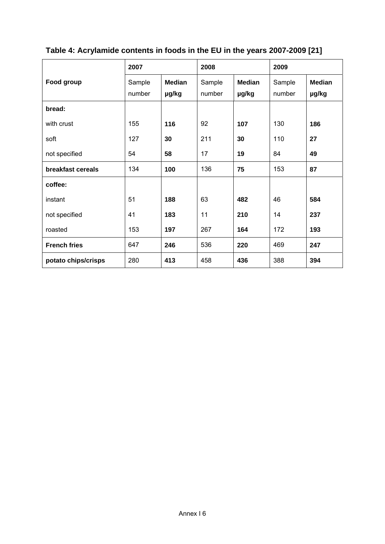|                     | 2007             |                        | 2008<br>2009     |                        |                  |                        |
|---------------------|------------------|------------------------|------------------|------------------------|------------------|------------------------|
| Food group          | Sample<br>number | <b>Median</b><br>µg/kg | Sample<br>number | <b>Median</b><br>µg/kg | Sample<br>number | <b>Median</b><br>µg/kg |
| bread:              |                  |                        |                  |                        |                  |                        |
| with crust          | 155              | 116                    | 92               | 107                    | 130              | 186                    |
| soft                | 127              | 30                     | 211              | 30                     | 110              | 27                     |
| not specified       | 54               | 58                     | 17               | 19                     | 84               | 49                     |
| breakfast cereals   | 134              | 100                    | 136              | 75                     | 153              | 87                     |
| coffee:             |                  |                        |                  |                        |                  |                        |
| instant             | 51               | 188                    | 63               | 482                    | 46               | 584                    |
| not specified       | 41               | 183                    | 11               | 210                    | 14               | 237                    |
| roasted             | 153              | 197                    | 267              | 164                    | 172              | 193                    |
| <b>French fries</b> | 647              | 246                    | 536              | 220                    | 469              | 247                    |
| potato chips/crisps | 280              | 413                    | 458              | 436                    | 388              | 394                    |

## **Table 4: Acrylamide contents in foods in the EU in the years 2007-2009 [21]**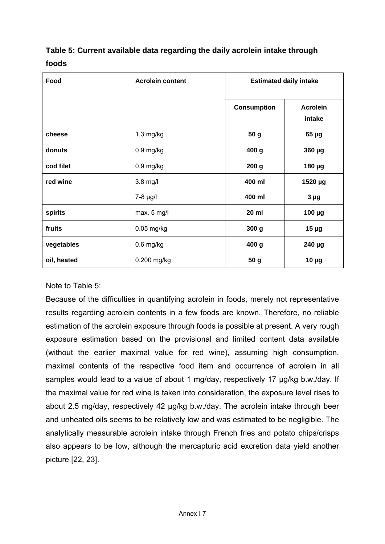## **Table 5: Current available data regarding the daily acrolein intake through foods**

| Food        | <b>Acrolein content</b> | <b>Estimated daily intake</b> |                           |
|-------------|-------------------------|-------------------------------|---------------------------|
|             |                         | <b>Consumption</b>            | <b>Acrolein</b><br>intake |
| cheese      | $1.3$ mg/kg             | 50 g                          | $65 \mu g$                |
| donuts      | $0.9$ mg/kg             | 400 g                         | 360 µg                    |
| cod filet   | $0.9$ mg/kg             | 200 <sub>g</sub>              | 180 µg                    |
| red wine    | 3.8 mg/l                | 400 ml                        | 1520 µg                   |
|             | $7-8$ µg/l              | 400 ml                        | 3 <sub>µg</sub>           |
| spirits     | max. 5 mg/l             | 20 ml                         | 100 µg                    |
| fruits      | $0.05$ mg/kg            | 300 g                         | $15 \mu g$                |
| vegetables  | $0.6$ mg/kg             | 400 g                         | 240 µg                    |
| oil, heated | 0.200 mg/kg             | 50 g                          | $10 \mu g$                |

#### Note to Table 5:

Because of the difficulties in quantifying acrolein in foods, merely not representative results regarding acrolein contents in a few foods are known. Therefore, no reliable estimation of the acrolein exposure through foods is possible at present. A very rough exposure estimation based on the provisional and limited content data available (without the earlier maximal value for red wine), assuming high consumption, maximal contents of the respective food item and occurrence of acrolein in all samples would lead to a value of about 1 mg/day, respectively 17 ug/kg b.w./day. If the maximal value for red wine is taken into consideration, the exposure level rises to about 2.5 mg/day, respectively 42 µg/kg b.w./day. The acrolein intake through beer and unheated oils seems to be relatively low and was estimated to be negligible. The analytically measurable acrolein intake through French fries and potato chips/crisps also appears to be low, although the mercapturic acid excretion data yield another picture [22, 23].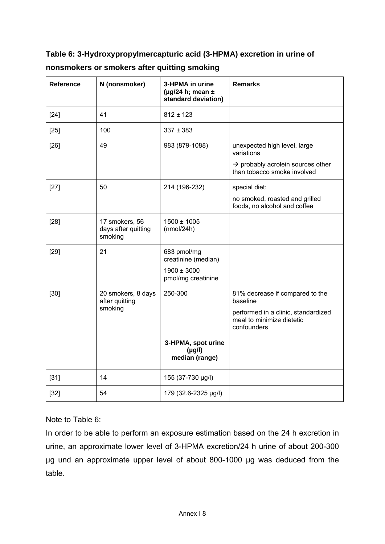**Table 6: 3-Hydroxypropylmercapturic acid (3-HPMA) excretion in urine of nonsmokers or smokers after quitting smoking**

| <b>Reference</b> | N (nonsmoker)                                    | 3-HPMA in urine<br>( $\mu$ g/24 h; mean ±<br>standard deviation) | <b>Remarks</b>                                                                  |
|------------------|--------------------------------------------------|------------------------------------------------------------------|---------------------------------------------------------------------------------|
| $[24]$           | 41                                               | $812 \pm 123$                                                    |                                                                                 |
| $[25]$           | 100                                              | $337 \pm 383$                                                    |                                                                                 |
| $[26]$           | 49                                               | 983 (879-1088)                                                   | unexpected high level, large<br>variations                                      |
|                  |                                                  |                                                                  | $\rightarrow$ probably acrolein sources other<br>than tobacco smoke involved    |
| $[27]$           | 50                                               | 214 (196-232)                                                    | special diet:                                                                   |
|                  |                                                  |                                                                  | no smoked, roasted and grilled<br>foods, no alcohol and coffee                  |
| $[28]$           | 17 smokers, 56<br>days after quitting<br>smoking | $1500 \pm 1005$<br>(mmol/24h)                                    |                                                                                 |
| $[29]$           | 21                                               | 683 pmol/mg<br>creatinine (median)<br>$1900 \pm 3000$            |                                                                                 |
|                  |                                                  | pmol/mg creatinine                                               |                                                                                 |
| $[30]$           | 20 smokers, 8 days<br>after quitting             | 250-300                                                          | 81% decrease if compared to the<br>baseline                                     |
|                  | smoking                                          |                                                                  | performed in a clinic, standardized<br>meal to minimize dietetic<br>confounders |
|                  |                                                  | 3-HPMA, spot urine<br>$(\mu g/l)$<br>median (range)              |                                                                                 |
| $[31]$           | 14                                               | 155 (37-730 µg/l)                                                |                                                                                 |
| $[32]$           | 54                                               | 179 (32.6-2325 µg/l)                                             |                                                                                 |

Note to Table 6:

In order to be able to perform an exposure estimation based on the 24 h excretion in urine, an approximate lower level of 3-HPMA excretion/24 h urine of about 200-300 µg und an approximate upper level of about 800-1000 µg was deduced from the table.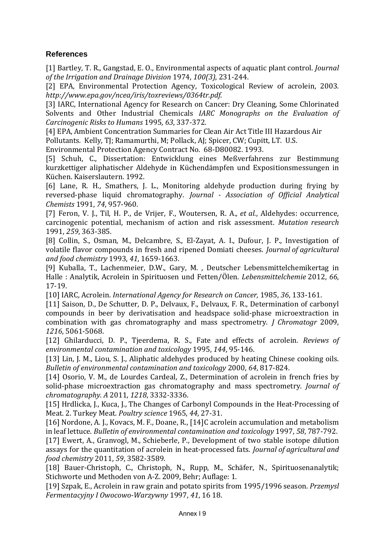#### **References**

[1] Bartley, T. R., Gangstad, E. O., Environmental aspects of aquatic plant control. *Journal of the Irrigation and Drainage Division* 1974, *100(3)*, 231‐244.

[2] EPA, Environmental Protection Agency, Toxicological Review of acrolein, 2003. *http://www.epa.gov/ncea/iris/toxreviews/0364tr.pdf*.

[3] IARC, International Agency for Research on Cancer: Dry Cleaning, Some Chlorinated Solvents and Other Industrial Chemicals *IARC Monographs on the Evaluation of Carcinogenic Risks to Humans* 1995, *63*, 337‐372.

[4] EPA, Ambient Concentration Summaries for Clean Air Act Title III Hazardous Air

Pollutants. Kelly, TJ; Ramamurthi, M; Pollack, AJ; Spicer, CW; Cupitt, LT. U.S.

Environmental Protection Agency Contract No. 68‐D80082. 1993.

[5] Schuh, C., Dissertation: Entwicklung eines Meßverfahrens zur Bestimmung kurzkettiger aliphatischer Aldehyde in Küchendämpfen und Expositionsmessungen in Küchen. Kaiserslautern. 1992.

[6] Lane, R. H., Smathers, J. L., Monitoring aldehyde production during frying by reversed‐phase liquid chromatography. *Journal Association of Official Analytical Chemists* 1991, *74*, 957‐960.

[7] Feron, V. J., Til, H. P., de Vrijer, F., Woutersen, R. A.*, et al.*, Aldehydes: occurrence, carcinogenic potential, mechanism of action and risk assessment. *Mutation research* 1991, *259*, 363‐385.

[8] Collin, S., Osman, M., Delcambre, S., El‐Zayat, A. I., Dufour, J. P., Investigation of volatile flavor compounds in fresh and ripened Domiati cheeses. *Journal of agricultural and food chemistry* 1993, *41*, 1659‐1663.

[9] Kuballa, T., Lachenmeier, D.W., Gary, M. , Deutscher Lebensmittelchemikertag in Halle : Analytik, Acrolein in Spirituosen und Fetten/Ölen. *Lebensmittelchemie* 2012, *66*, 17‐19.

[10] IARC, Acrolein. *International Agency for Research on Cancer,* 1985, *36*, 133‐161.

[11] Saison, D., De Schutter, D. P., Delvaux, F., Delvaux, F. R., Determination of carbonyl compounds in beer by derivatisation and headspace solid‐phase microextraction in combination with gas chromatography and mass spectrometry. *J Chromatogr* 2009, *1216*, 5061‐5068.

[12] Ghilarducci, D. P., Tjeerdema, R. S., Fate and effects of acrolein. *Reviews of environmental contamination and toxicology* 1995, *144*, 95‐146.

[13] Lin, J. M., Liou, S. J., Aliphatic aldehydes produced by heating Chinese cooking oils. *Bulletin of environmental contamination and toxicology* 2000, *64*, 817‐824.

[14] Osorio, V. M., de Lourdes Cardeal, Z., Determination of acrolein in french fries by solid‐phase microextraction gas chromatography and mass spectrometry. *Journal of chromatography. A* 2011, *1218*, 3332‐3336.

[15] Hrdlicka, J., Kuca, J., The Changes of Carbonyl Compounds in the Heat-Processing of Meat. 2. Turkey Meat. *Poultry science* 1965, *44*, 27‐31.

[16] Nordone, A. J., Kovacs, M. F., Doane, R., [14]C acrolein accumulation and metabolism in leaf lettuce. *Bulletin of environmental contamination and toxicology* 1997, *58*, 787‐792.

[17] Ewert, A., Granvogl, M., Schieberle, P., Development of two stable isotope dilution assays for the quantitation of acrolein in heat‐processed fats. *Journal of agricultural and food chemistry* 2011, *59*, 3582‐3589.

[18] Bauer‐Christoph, C., Christoph, N., Rupp, M., Schäfer, N., Spirituosenanalytik; Stichworte und Methoden von A‐Z. 2009, Behr; Auflage: 1.

[19] Szpak, E., Acrolein in raw grain and potato spirits from 1995/1996 season. *Przemysl Fermentacyjny I OwocowoWarzywny* 1997, *41*, 16 18.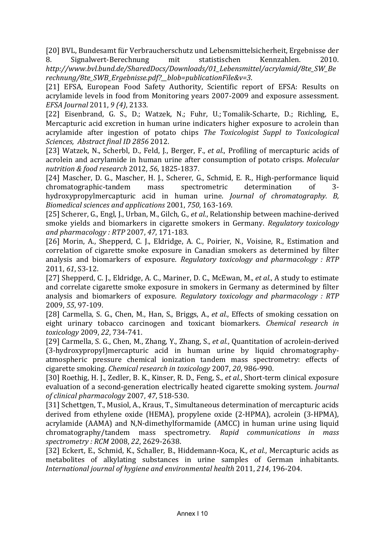[20] BVL, Bundesamt für Verbraucherschutz und Lebensmittelsicherheit, Ergebnisse der 8. Signalwert‐Berechnung mit statistischen Kennzahlen. 2010. *http://www.bvl.bund.de/SharedDocs/Downloads/01\_Lebensmittel/acrylamid/8te\_SW\_Be rechnung/8te\_SWB\_Ergebnisse.pdf?\_\_blob=publicationFile&v=3*.

[21] EFSA, European Food Safety Authority, Scientific report of EFSA: Results on acrylamide levels in food from Monitoring years 2007‐2009 and exposure assessment. *EFSA Journal* 2011, *9 (4)*, 2133.

[22] Eisenbrand, G. S., D.; Watzek, N.; Fuhr, U.; Tomalik‐Scharte, D.; Richling, E., Mercapturic acid excretion in human urine indicaters higher exposure to acrolein than acrylamide after ingestion of potato chips *The Toxicologist Suppl to Toxicological Sciences, Abstract final ID 2856* 2012.

[23] Watzek, N., Scherbl, D., Feld, J., Berger, F.*, et al.*, Profiling of mercapturic acids of acrolein and acrylamide in human urine after consumption of potato crisps. *Molecular nutrition & food research* 2012, *56*, 1825‐1837.

[24] Mascher, D. G., Mascher, H. J., Scherer, G., Schmid, E. R., High‐performance liquid chromatographic‐tandem mass spectrometric determination of 3‐ hydroxypropylmercapturic acid in human urine. *Journal of chromatography. B, Biomedical sciences and applications* 2001, *750*, 163‐169.

[25] Scherer, G., Engl, J., Urban, M., Gilch, G.*, et al.*, Relationship between machine‐derived smoke yields and biomarkers in cigarette smokers in Germany. *Regulatory toxicology and pharmacology : RTP* 2007, *47*, 171‐183.

[26] Morin, A., Shepperd, C. J., Eldridge, A. C., Poirier, N., Voisine, R., Estimation and correlation of cigarette smoke exposure in Canadian smokers as determined by filter analysis and biomarkers of exposure. *Regulatory toxicology and pharmacology : RTP* 2011, *61*, S3‐12.

[27] Shepperd, C. J., Eldridge, A. C., Mariner, D. C., McEwan, M.*, et al.*, A study to estimate and correlate cigarette smoke exposure in smokers in Germany as determined by filter analysis and biomarkers of exposure. *Regulatory toxicology and pharmacology : RTP* 2009, *55*, 97‐109.

[28] Carmella, S. G., Chen, M., Han, S., Briggs, A.*, et al.*, Effects of smoking cessation on eight urinary tobacco carcinogen and toxicant biomarkers. *Chemical research in toxicology* 2009, *22*, 734‐741.

[29] Carmella, S. G., Chen, M., Zhang, Y., Zhang, S.*, et al.*, Quantitation of acrolein‐derived (3‐hydroxypropyl)mercapturic acid in human urine by liquid chromatography‐ atmospheric pressure chemical ionization tandem mass spectrometry: effects of cigarette smoking. *Chemical research in toxicology* 2007, *20*, 986‐990.

[30] Roethig, H. J., Zedler, B. K., Kinser, R. D., Feng, S.*, et al.*, Short‐term clinical exposure evaluation of a second‐generation electrically heated cigarette smoking system. *Journal of clinical pharmacology* 2007, *47*, 518‐530.

[31] Schettgen, T., Musiol, A., Kraus, T., Simultaneous determination of mercapturic acids derived from ethylene oxide (HEMA), propylene oxide (2‐HPMA), acrolein (3‐HPMA), acrylamide (AAMA) and N,N‐dimethylformamide (AMCC) in human urine using liquid chromatography/tandem mass spectrometry. *Rapid communications in mass spectrometry : RCM* 2008, *22*, 2629‐2638.

[32] Eckert, E., Schmid, K., Schaller, B., Hiddemann‐Koca, K.*, et al.*, Mercapturic acids as metabolites of alkylating substances in urine samples of German inhabitants. *International journal of hygiene and environmental health* 2011, *214*, 196‐204.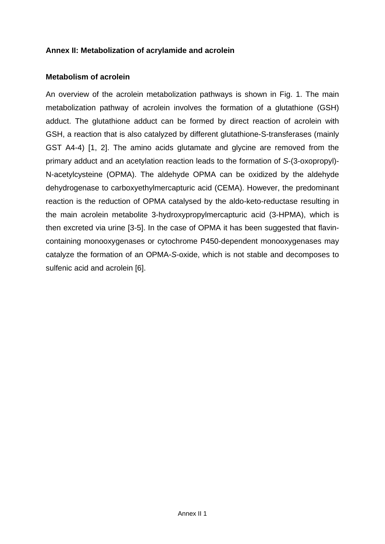#### **Annex II: Metabolization of acrylamide and acrolein**

#### **Metabolism of acrolein**

An overview of the acrolein metabolization pathways is shown in Fig. 1. The main metabolization pathway of acrolein involves the formation of a glutathione (GSH) adduct. The glutathione adduct can be formed by direct reaction of acrolein with GSH, a reaction that is also catalyzed by different glutathione-S-transferases (mainly GST A4-4) [1, 2]. The amino acids glutamate and glycine are removed from the primary adduct and an acetylation reaction leads to the formation of *S*-(3-oxopropyl)- N-acetylcysteine (OPMA). The aldehyde OPMA can be oxidized by the aldehyde dehydrogenase to carboxyethylmercapturic acid (CEMA). However, the predominant reaction is the reduction of OPMA catalysed by the aldo-keto-reductase resulting in the main acrolein metabolite 3-hydroxypropylmercapturic acid (3-HPMA), which is then excreted via urine [3-5]. In the case of OPMA it has been suggested that flavincontaining monooxygenases or cytochrome P450-dependent monooxygenases may catalyze the formation of an OPMA-*S*-oxide, which is not stable and decomposes to sulfenic acid and acrolein [6].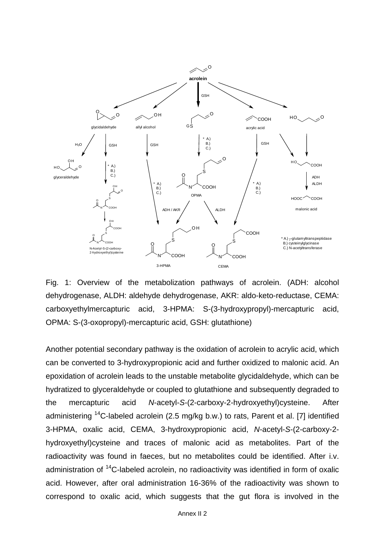

Fig. 1: Overview of the metabolization pathways of acrolein. (ADH: alcohol dehydrogenase, ALDH: aldehyde dehydrogenase, AKR: aldo-keto-reductase, CEMA: carboxyethylmercapturic acid, 3-HPMA: S-(3-hydroxypropyl)-mercapturic acid, OPMA: S-(3-oxopropyl)-mercapturic acid, GSH: glutathione)

Another potential secondary pathway is the oxidation of acrolein to acrylic acid, which can be converted to 3-hydroxypropionic acid and further oxidized to malonic acid. An epoxidation of acrolein leads to the unstable metabolite glycidaldehyde, which can be hydratized to glyceraldehyde or coupled to glutathione and subsequently degraded to the mercapturic acid *N*-acetyl-*S*-(2-carboxy-2-hydroxyethyl)cysteine. After administering  $14C$ -labeled acrolein (2.5 mg/kg b.w.) to rats, Parent et al. [7] identified 3-HPMA, oxalic acid, CEMA, 3-hydroxypropionic acid, *N*-acetyl-*S*-(2-carboxy-2 hydroxyethyl)cysteine and traces of malonic acid as metabolites. Part of the radioactivity was found in faeces, but no metabolites could be identified. After i.v. administration of <sup>14</sup>C-labeled acrolein, no radioactivity was identified in form of oxalic acid. However, after oral administration 16-36% of the radioactivity was shown to correspond to oxalic acid, which suggests that the gut flora is involved in the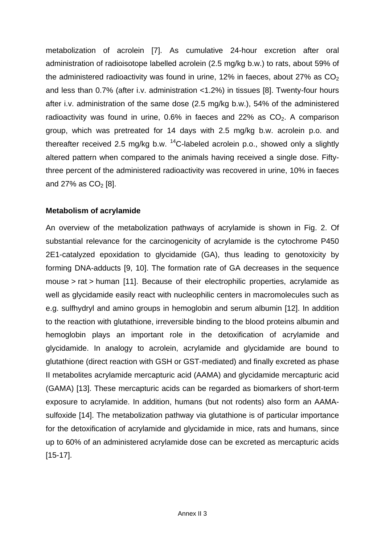metabolization of acrolein [7]. As cumulative 24-hour excretion after oral administration of radioisotope labelled acrolein (2.5 mg/kg b.w.) to rats, about 59% of the administered radioactivity was found in urine, 12% in faeces, about 27% as  $CO<sub>2</sub>$ and less than 0.7% (after i.v. administration <1.2%) in tissues [8]. Twenty-four hours after i.v. administration of the same dose (2.5 mg/kg b.w.), 54% of the administered radioactivity was found in urine,  $0.6\%$  in faeces and 22% as  $CO<sub>2</sub>$ . A comparison group, which was pretreated for 14 days with 2.5 mg/kg b.w. acrolein p.o. and thereafter received 2.5 mg/kg b.w.  $^{14}$ C-labeled acrolein p.o., showed only a slightly altered pattern when compared to the animals having received a single dose. Fiftythree percent of the administered radioactivity was recovered in urine, 10% in faeces and 27% as  $CO<sub>2</sub>$  [8].

### **Metabolism of acrylamide**

An overview of the metabolization pathways of acrylamide is shown in Fig. 2. Of substantial relevance for the carcinogenicity of acrylamide is the cytochrome P450 2E1-catalyzed epoxidation to glycidamide (GA), thus leading to genotoxicity by forming DNA-adducts [9, 10]. The formation rate of GA decreases in the sequence mouse > rat > human [11]. Because of their electrophilic properties, acrylamide as well as glycidamide easily react with nucleophilic centers in macromolecules such as e.g. sulfhydryl and amino groups in hemoglobin and serum albumin [12]. In addition to the reaction with glutathione, irreversible binding to the blood proteins albumin and hemoglobin plays an important role in the detoxification of acrylamide and glycidamide. In analogy to acrolein, acrylamide and glycidamide are bound to glutathione (direct reaction with GSH or GST-mediated) and finally excreted as phase II metabolites acrylamide mercapturic acid (AAMA) and glycidamide mercapturic acid (GAMA) [13]. These mercapturic acids can be regarded as biomarkers of short-term exposure to acrylamide. In addition, humans (but not rodents) also form an AAMAsulfoxide [14]. The metabolization pathway via glutathione is of particular importance for the detoxification of acrylamide and glycidamide in mice, rats and humans, since up to 60% of an administered acrylamide dose can be excreted as mercapturic acids [15-17].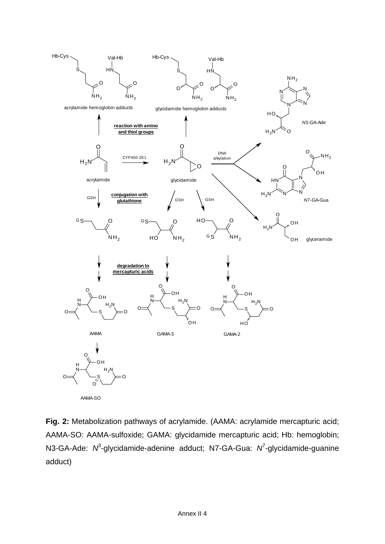

**Fig. 2:** Metabolization pathways of acrylamide. (AAMA: acrylamide mercapturic acid; AAMA-SO: AAMA-sulfoxide; GAMA: glycidamide mercapturic acid; Hb: hemoglobin; N3-GA-Ade: N<sup>3</sup>-glycidamide-adenine adduct; N7-GA-Gua: N<sup>7</sup>-glycidamide-guanine adduct)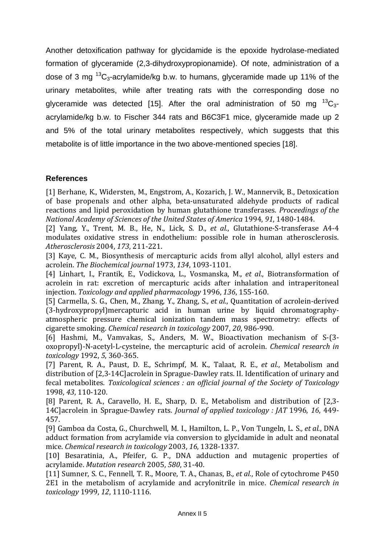Another detoxification pathway for glycidamide is the epoxide hydrolase-mediated formation of glyceramide (2,3-dihydroxypropionamide). Of note, administration of a dose of 3 mg  $^{13}C_3$ -acrylamide/kg b.w. to humans, glyceramide made up 11% of the urinary metabolites, while after treating rats with the corresponding dose no glyceramide was detected [15]. After the oral administration of 50 mg  ${}^{13}C_{3}$ acrylamide/kg b.w. to Fischer 344 rats and B6C3F1 mice, glyceramide made up 2 and 5% of the total urinary metabolites respectively, which suggests that this metabolite is of little importance in the two above-mentioned species [18].

#### **References**

[1] Berhane, K., Widersten, M., Engstrom, A., Kozarich, J. W., Mannervik, B., Detoxication of base propenals and other alpha, beta-unsaturated aldehyde products of radical reactions and lipid peroxidation by human glutathione transferases. *Proceedings of the National Academy of Sciences of the United States of America* 1994, *91*, 1480‐1484. 

[2] Yang, Y., Trent, M. B., He, N., Lick, S. D., *et al.*, Glutathione-S-transferase A4-4 modulates oxidative stress in endothelium: possible role in human atherosclerosis. *Atherosclerosis* 2004, *173*, 211‐221. 

[3] Kaye, C. M., Biosynthesis of mercapturic acids from allyl alcohol, allyl esters and acrolein. *The Biochemical journal* 1973, *134*, 1093‐1101. 

[4] Linhart, I., Frantik, E., Vodickova, L., Vosmanska, M., *et al.*, Biotransformation of acrolein in rat: excretion of mercapturic acids after inhalation and intraperitoneal injection. *Toxicology and applied pharmacology* 1996, *136*, 155‐160. 

[5] Carmella, S. G., Chen, M., Zhang, Y., Zhang, S., *et al.*, Quantitation of acrolein-derived (3‐hydroxypropyl)mercapturic acid in human urine by liquid chromatography‐ atmospheric pressure chemical ionization tandem mass spectrometry: effects of cigarette smoking. *Chemical research in toxicology* 2007, *20*, 986‐990. 

[6] Hashmi, M., Vamvakas, S., Anders, M. W., Bioactivation mechanism of S-(3oxopropyl)‐N‐acetyl‐L‐cysteine, the mercapturic acid of acrolein. *Chemical research in toxicology* 1992, *5*, 360‐365. 

[7] Parent, R. A., Paust, D. E., Schrimpf, M. K., Talaat, R. E., *et al.*, Metabolism and distribution of [2,3-14C]acrolein in Sprague-Dawley rats. II. Identification of urinary and fecal metabolites. *Toxicological sciences : an official journal of the Society of Toxicology* 1998, *43*, 110‐120. 

[8] Parent, R. A., Caravello, H. E., Sharp, D. E., Metabolism and distribution of [2,3-14C]acrolein in Sprague-Dawley rats. *Journal of applied toxicology : JAT* 1996, 16, 449-457. 

[9] Gamboa da Costa, G., Churchwell, M. I., Hamilton, L. P., Von Tungeln, L. S., *et al.*, DNA adduct formation from acrylamide via conversion to glycidamide in adult and neonatal mice. *Chemical research in toxicology* 2003, *16*, 1328‐1337. 

[10] Besaratinia, A., Pfeifer, G. P., DNA adduction and mutagenic properties of acrylamide. *Mutation research* 2005, *580*, 31‐40. 

[11] Sumner, S. C., Fennell, T. R., Moore, T. A., Chanas, B., *et al.*, Role of cytochrome P450 2E1 in the metabolism of acrylamide and acrylonitrile in mice. *Chemical research in toxicology* 1999, *12*, 1110‐1116.